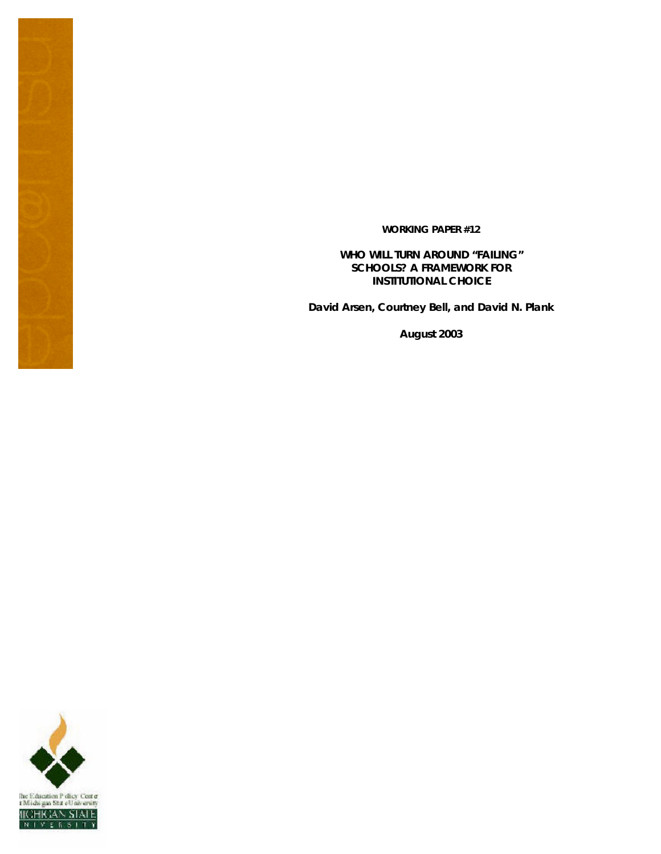**WORKING PAPER #12**

**WHO WILL TURN AROUND "FAILING" SCHOOLS? A FRAMEWORK FOR INSTITUTIONAL CHOICE** 

**David Arsen, Courtney Bell, and David N. Plank**

**August 2003**

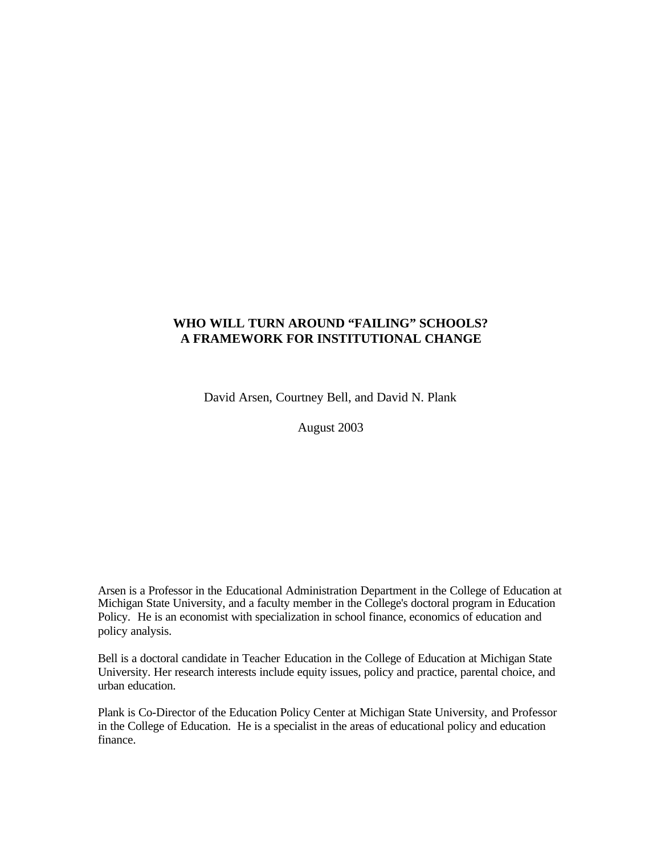# **WHO WILL TURN AROUND "FAILING" SCHOOLS? A FRAMEWORK FOR INSTITUTIONAL CHANGE**

David Arsen, Courtney Bell, and David N. Plank

August 2003

Arsen is a Professor in the Educational Administration Department in the College of Education at Michigan State University, and a faculty member in the College's doctoral program in Education Policy. He is an economist with specialization in school finance, economics of education and policy analysis.

Bell is a doctoral candidate in Teacher Education in the College of Education at Michigan State University. Her research interests include equity issues, policy and practice, parental choice, and urban education.

Plank is Co-Director of the Education Policy Center at Michigan State University, and Professor in the College of Education. He is a specialist in the areas of educational policy and education finance.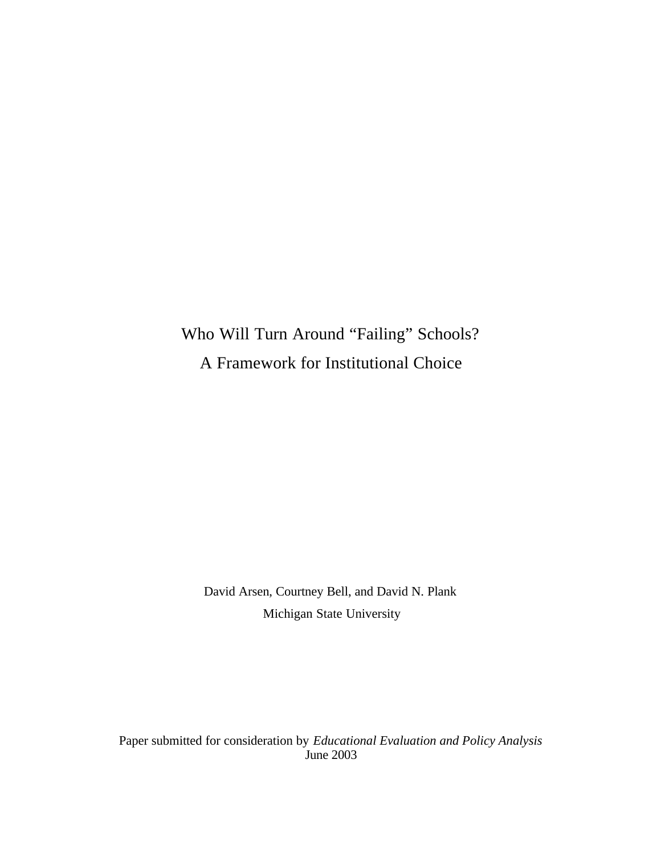# Who Will Turn Around "Failing" Schools? A Framework for Institutional Choice

David Arsen, Courtney Bell, and David N. Plank Michigan State University

Paper submitted for consideration by *Educational Evaluation and Policy Analysis* June 2003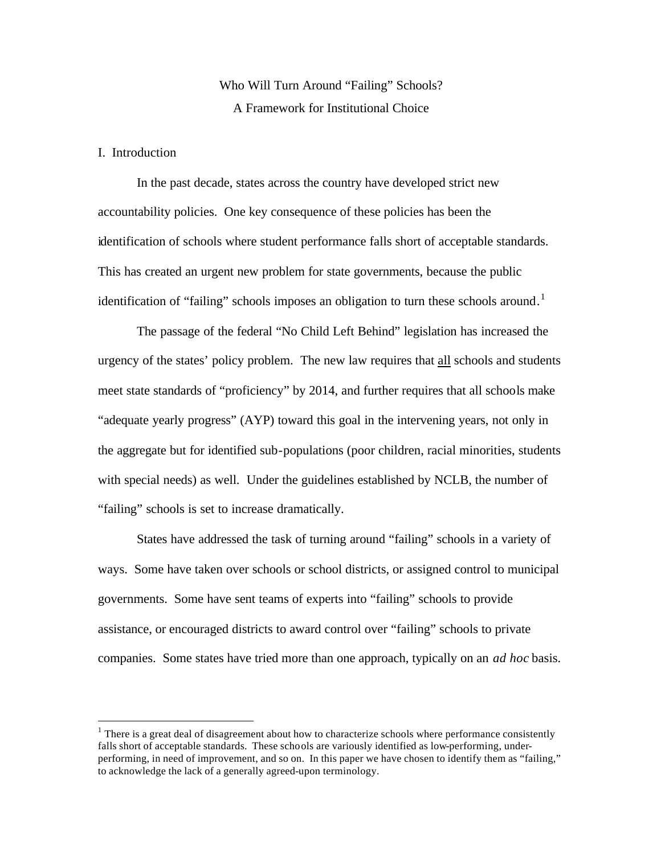# Who Will Turn Around "Failing" Schools? A Framework for Institutional Choice

# I. Introduction

 $\overline{a}$ 

In the past decade, states across the country have developed strict new accountability policies. One key consequence of these policies has been the identification of schools where student performance falls short of acceptable standards. This has created an urgent new problem for state governments, because the public identification of "failing" schools imposes an obligation to turn these schools around.<sup>1</sup>

The passage of the federal "No Child Left Behind" legislation has increased the urgency of the states' policy problem. The new law requires that all schools and students meet state standards of "proficiency" by 2014, and further requires that all schools make "adequate yearly progress" (AYP) toward this goal in the intervening years, not only in the aggregate but for identified sub-populations (poor children, racial minorities, students with special needs) as well. Under the guidelines established by NCLB, the number of "failing" schools is set to increase dramatically.

States have addressed the task of turning around "failing" schools in a variety of ways. Some have taken over schools or school districts, or assigned control to municipal governments. Some have sent teams of experts into "failing" schools to provide assistance, or encouraged districts to award control over "failing" schools to private companies. Some states have tried more than one approach, typically on an *ad hoc* basis.

 $1$  There is a great deal of disagreement about how to characterize schools where performance consistently falls short of acceptable standards. These schools are variously identified as low-performing, underperforming, in need of improvement, and so on. In this paper we have chosen to identify them as "failing," to acknowledge the lack of a generally agreed-upon terminology.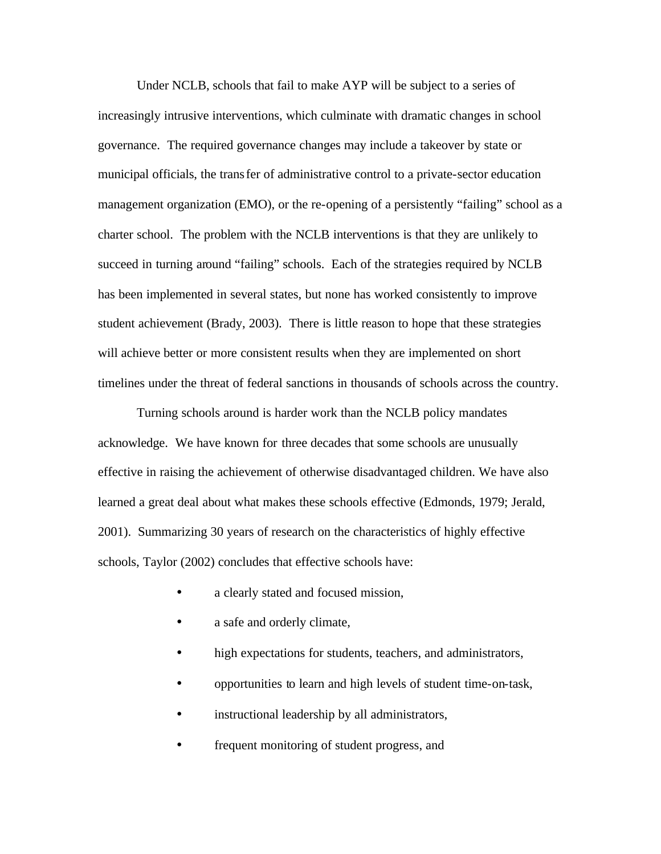Under NCLB, schools that fail to make AYP will be subject to a series of increasingly intrusive interventions, which culminate with dramatic changes in school governance. The required governance changes may include a takeover by state or municipal officials, the transfer of administrative control to a private-sector education management organization (EMO), or the re-opening of a persistently "failing" school as a charter school. The problem with the NCLB interventions is that they are unlikely to succeed in turning around "failing" schools. Each of the strategies required by NCLB has been implemented in several states, but none has worked consistently to improve student achievement (Brady, 2003). There is little reason to hope that these strategies will achieve better or more consistent results when they are implemented on short timelines under the threat of federal sanctions in thousands of schools across the country.

Turning schools around is harder work than the NCLB policy mandates acknowledge. We have known for three decades that some schools are unusually effective in raising the achievement of otherwise disadvantaged children. We have also learned a great deal about what makes these schools effective (Edmonds, 1979; Jerald, 2001). Summarizing 30 years of research on the characteristics of highly effective schools, Taylor (2002) concludes that effective schools have:

- a clearly stated and focused mission,
- a safe and orderly climate,
- high expectations for students, teachers, and administrators,
- opportunities to learn and high levels of student time-on-task,
- instructional leadership by all administrators,
- frequent monitoring of student progress, and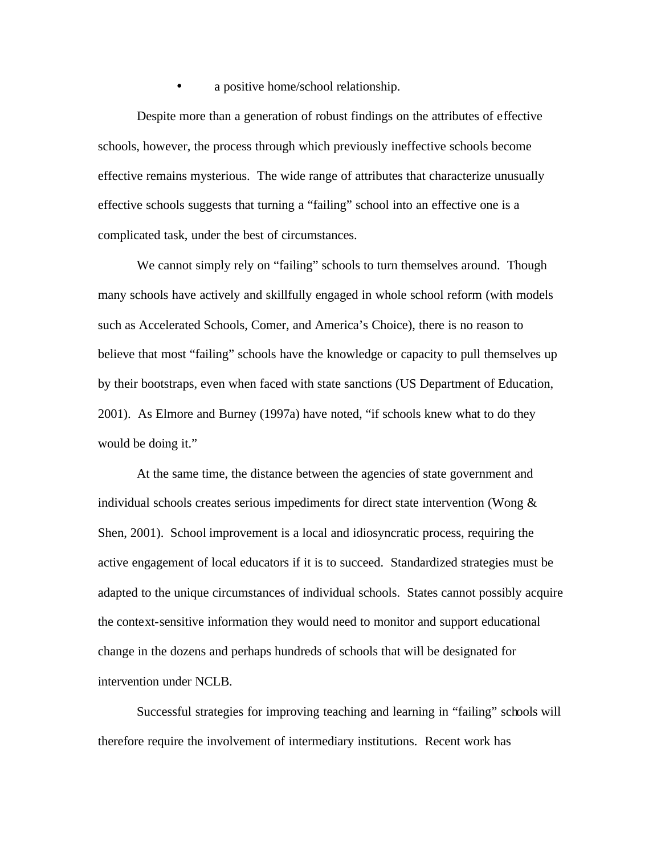• a positive home/school relationship.

Despite more than a generation of robust findings on the attributes of effective schools, however, the process through which previously ineffective schools become effective remains mysterious. The wide range of attributes that characterize unusually effective schools suggests that turning a "failing" school into an effective one is a complicated task, under the best of circumstances.

We cannot simply rely on "failing" schools to turn themselves around. Though many schools have actively and skillfully engaged in whole school reform (with models such as Accelerated Schools, Comer, and America's Choice), there is no reason to believe that most "failing" schools have the knowledge or capacity to pull themselves up by their bootstraps, even when faced with state sanctions (US Department of Education, 2001). As Elmore and Burney (1997a) have noted, "if schools knew what to do they would be doing it."

At the same time, the distance between the agencies of state government and individual schools creates serious impediments for direct state intervention (Wong & Shen, 2001). School improvement is a local and idiosyncratic process, requiring the active engagement of local educators if it is to succeed. Standardized strategies must be adapted to the unique circumstances of individual schools. States cannot possibly acquire the context-sensitive information they would need to monitor and support educational change in the dozens and perhaps hundreds of schools that will be designated for intervention under NCLB.

Successful strategies for improving teaching and learning in "failing" schools will therefore require the involvement of intermediary institutions. Recent work has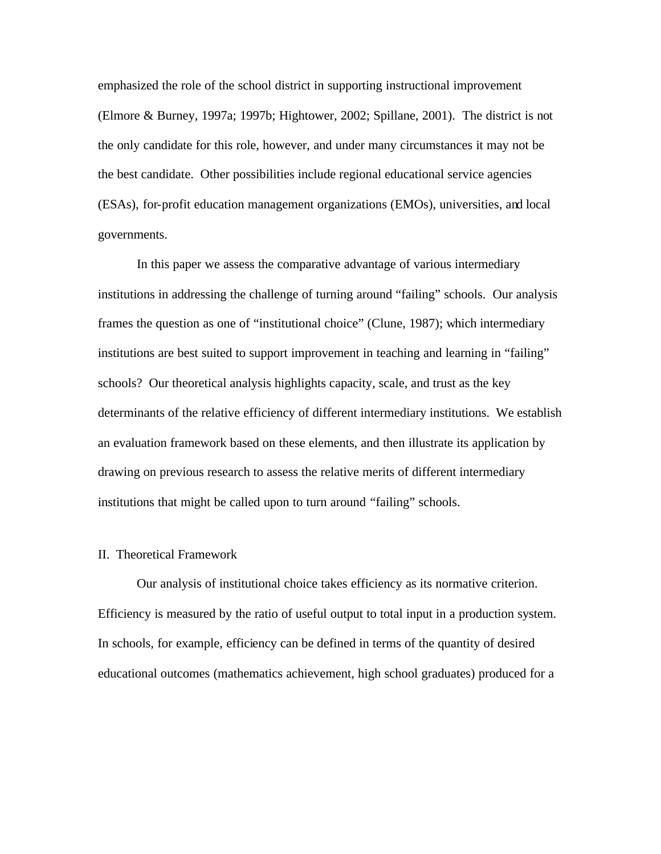emphasized the role of the school district in supporting instructional improvement (Elmore & Burney, 1997a; 1997b; Hightower, 2002; Spillane, 2001). The district is not the only candidate for this role, however, and under many circumstances it may not be the best candidate. Other possibilities include regional educational service agencies (ESAs), for-profit education management organizations (EMOs), universities, and local governments.

In this paper we assess the comparative advantage of various intermediary institutions in addressing the challenge of turning around "failing" schools. Our analysis frames the question as one of "institutional choice" (Clune, 1987); which intermediary institutions are best suited to support improvement in teaching and learning in "failing" schools? Our theoretical analysis highlights capacity, scale, and trust as the key determinants of the relative efficiency of different intermediary institutions. We establish an evaluation framework based on these elements, and then illustrate its application by drawing on previous research to assess the relative merits of different intermediary institutions that might be called upon to turn around "failing" schools.

# II. Theoretical Framework

Our analysis of institutional choice takes efficiency as its normative criterion. Efficiency is measured by the ratio of useful output to total input in a production system. In schools, for example, efficiency can be defined in terms of the quantity of desired educational outcomes (mathematics achievement, high school graduates) produced for a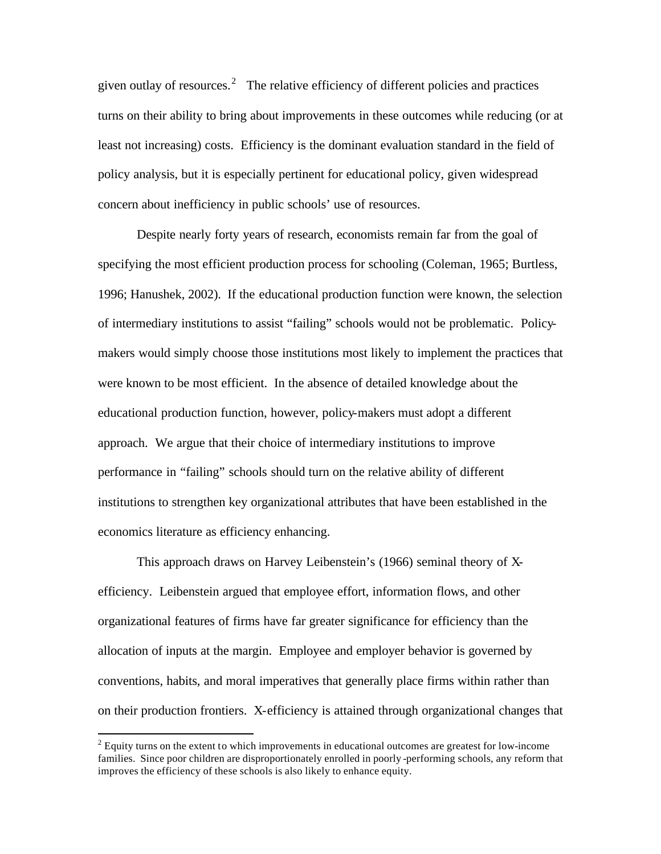given outlay of resources.<sup>2</sup> The relative efficiency of different policies and practices turns on their ability to bring about improvements in these outcomes while reducing (or at least not increasing) costs. Efficiency is the dominant evaluation standard in the field of policy analysis, but it is especially pertinent for educational policy, given widespread concern about inefficiency in public schools' use of resources.

Despite nearly forty years of research, economists remain far from the goal of specifying the most efficient production process for schooling (Coleman, 1965; Burtless, 1996; Hanushek, 2002). If the educational production function were known, the selection of intermediary institutions to assist "failing" schools would not be problematic. Policymakers would simply choose those institutions most likely to implement the practices that were known to be most efficient. In the absence of detailed knowledge about the educational production function, however, policy-makers must adopt a different approach. We argue that their choice of intermediary institutions to improve performance in "failing" schools should turn on the relative ability of different institutions to strengthen key organizational attributes that have been established in the economics literature as efficiency enhancing.

This approach draws on Harvey Leibenstein's (1966) seminal theory of Xefficiency. Leibenstein argued that employee effort, information flows, and other organizational features of firms have far greater significance for efficiency than the allocation of inputs at the margin. Employee and employer behavior is governed by conventions, habits, and moral imperatives that generally place firms within rather than on their production frontiers. X-efficiency is attained through organizational changes that

 $\overline{a}$ 

 $2$  Equity turns on the extent to which improvements in educational outcomes are greatest for low-income families. Since poor children are disproportionately enrolled in poorly -performing schools, any reform that improves the efficiency of these schools is also likely to enhance equity.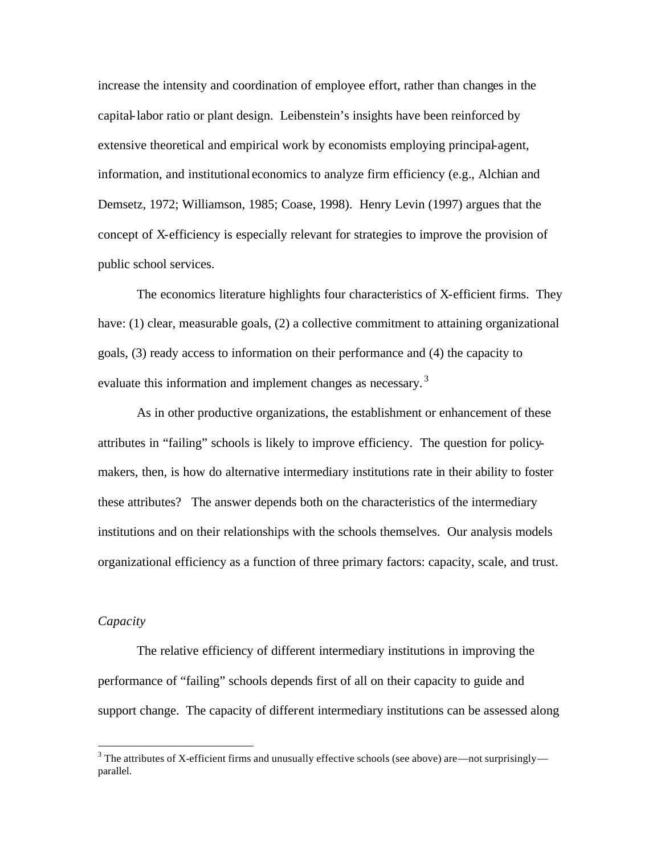increase the intensity and coordination of employee effort, rather than changes in the capital-labor ratio or plant design. Leibenstein's insights have been reinforced by extensive theoretical and empirical work by economists employing principal-agent, information, and institutional economics to analyze firm efficiency (e.g., Alchian and Demsetz, 1972; Williamson, 1985; Coase, 1998). Henry Levin (1997) argues that the concept of X-efficiency is especially relevant for strategies to improve the provision of public school services.

The economics literature highlights four characteristics of X-efficient firms. They have: (1) clear, measurable goals, (2) a collective commitment to attaining organizational goals, (3) ready access to information on their performance and (4) the capacity to evaluate this information and implement changes as necessary.<sup>3</sup>

As in other productive organizations, the establishment or enhancement of these attributes in "failing" schools is likely to improve efficiency. The question for policymakers, then, is how do alternative intermediary institutions rate in their ability to foster these attributes? The answer depends both on the characteristics of the intermediary institutions and on their relationships with the schools themselves. Our analysis models organizational efficiency as a function of three primary factors: capacity, scale, and trust.

# *Capacity*

The relative efficiency of different intermediary institutions in improving the performance of "failing" schools depends first of all on their capacity to guide and support change. The capacity of different intermediary institutions can be assessed along

<sup>&</sup>lt;sup>3</sup> The attributes of X-efficient firms and unusually effective schools (see above) are—not surprisingly parallel.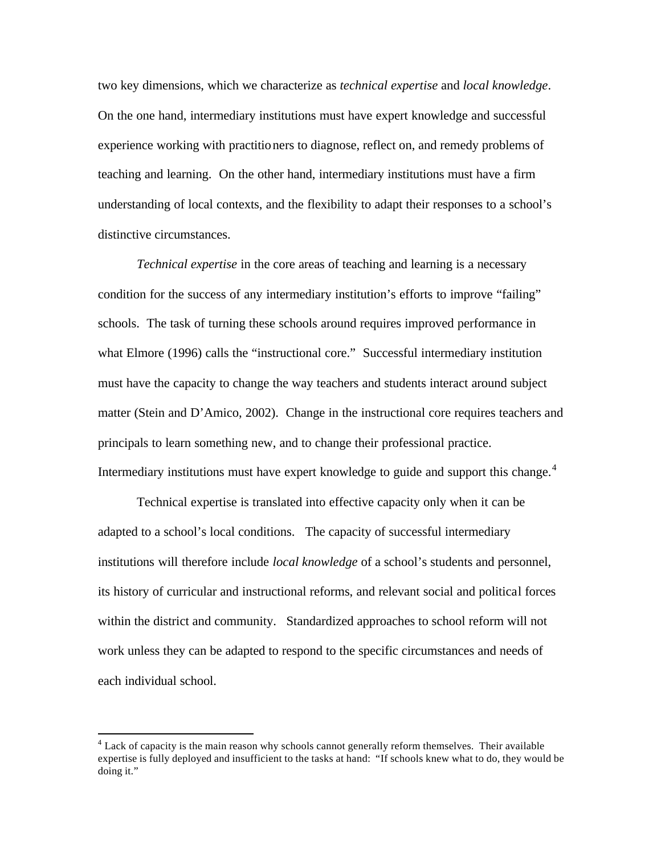two key dimensions, which we characterize as *technical expertise* and *local knowledge*. On the one hand, intermediary institutions must have expert knowledge and successful experience working with practitioners to diagnose, reflect on, and remedy problems of teaching and learning. On the other hand, intermediary institutions must have a firm understanding of local contexts, and the flexibility to adapt their responses to a school's distinctive circumstances.

*Technical expertise* in the core areas of teaching and learning is a necessary condition for the success of any intermediary institution's efforts to improve "failing" schools. The task of turning these schools around requires improved performance in what Elmore (1996) calls the "instructional core." Successful intermediary institution must have the capacity to change the way teachers and students interact around subject matter (Stein and D'Amico, 2002). Change in the instructional core requires teachers and principals to learn something new, and to change their professional practice. Intermediary institutions must have expert knowledge to guide and support this change.<sup>4</sup>

Technical expertise is translated into effective capacity only when it can be adapted to a school's local conditions. The capacity of successful intermediary institutions will therefore include *local knowledge* of a school's students and personnel, its history of curricular and instructional reforms, and relevant social and political forces within the district and community. Standardized approaches to school reform will not work unless they can be adapted to respond to the specific circumstances and needs of each individual school.

 $\overline{a}$ 

<sup>&</sup>lt;sup>4</sup> Lack of capacity is the main reason why schools cannot generally reform themselves. Their available expertise is fully deployed and insufficient to the tasks at hand: "If schools knew what to do, they would be doing it."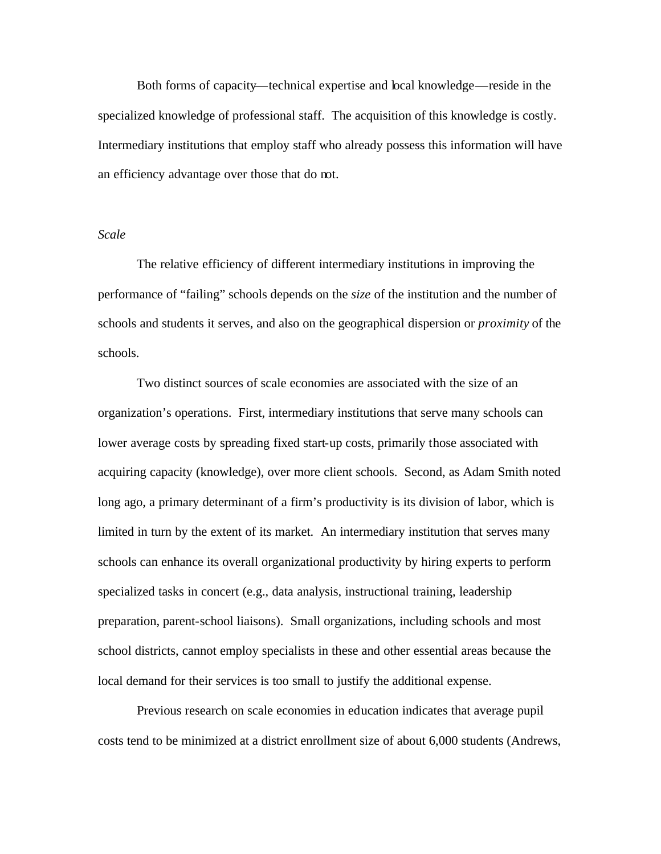Both forms of capacity—technical expertise and local knowledge—reside in the specialized knowledge of professional staff. The acquisition of this knowledge is costly. Intermediary institutions that employ staff who already possess this information will have an efficiency advantage over those that do not.

# *Scale*

The relative efficiency of different intermediary institutions in improving the performance of "failing" schools depends on the *size* of the institution and the number of schools and students it serves, and also on the geographical dispersion or *proximity* of the schools.

Two distinct sources of scale economies are associated with the size of an organization's operations. First, intermediary institutions that serve many schools can lower average costs by spreading fixed start-up costs, primarily those associated with acquiring capacity (knowledge), over more client schools. Second, as Adam Smith noted long ago, a primary determinant of a firm's productivity is its division of labor, which is limited in turn by the extent of its market. An intermediary institution that serves many schools can enhance its overall organizational productivity by hiring experts to perform specialized tasks in concert (e.g., data analysis, instructional training, leadership preparation, parent-school liaisons). Small organizations, including schools and most school districts, cannot employ specialists in these and other essential areas because the local demand for their services is too small to justify the additional expense.

Previous research on scale economies in education indicates that average pupil costs tend to be minimized at a district enrollment size of about 6,000 students (Andrews,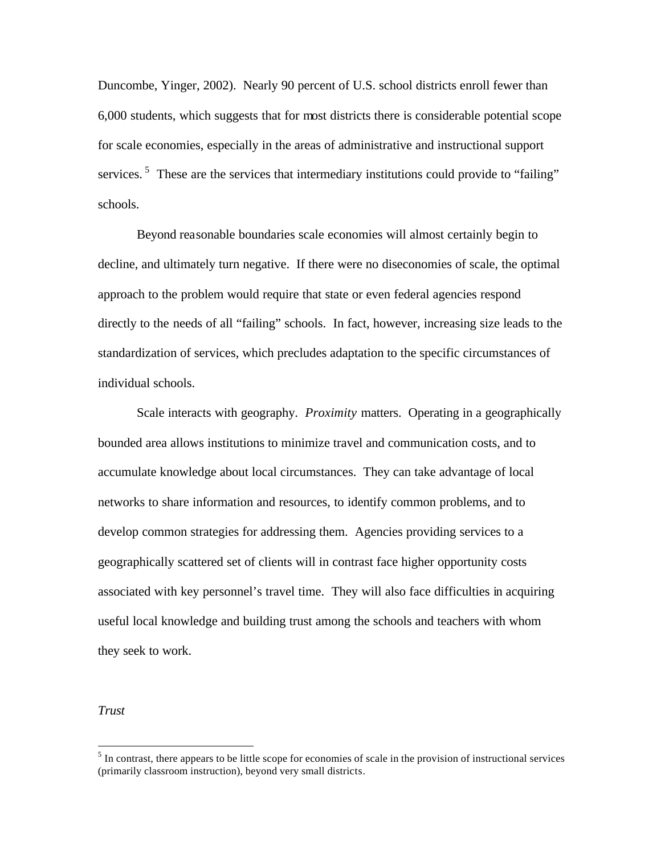Duncombe, Yinger, 2002). Nearly 90 percent of U.S. school districts enroll fewer than 6,000 students, which suggests that for most districts there is considerable potential scope for scale economies, especially in the areas of administrative and instructional support services.<sup>5</sup> These are the services that intermediary institutions could provide to "failing" schools.

Beyond reasonable boundaries scale economies will almost certainly begin to decline, and ultimately turn negative. If there were no diseconomies of scale, the optimal approach to the problem would require that state or even federal agencies respond directly to the needs of all "failing" schools. In fact, however, increasing size leads to the standardization of services, which precludes adaptation to the specific circumstances of individual schools.

Scale interacts with geography. *Proximity* matters. Operating in a geographically bounded area allows institutions to minimize travel and communication costs, and to accumulate knowledge about local circumstances. They can take advantage of local networks to share information and resources, to identify common problems, and to develop common strategies for addressing them. Agencies providing services to a geographically scattered set of clients will in contrast face higher opportunity costs associated with key personnel's travel time. They will also face difficulties in acquiring useful local knowledge and building trust among the schools and teachers with whom they seek to work.

*Trust*

 $\overline{a}$ 

 $<sup>5</sup>$  In contrast, there appears to be little scope for economies of scale in the provision of instructional services</sup> (primarily classroom instruction), beyond very small districts.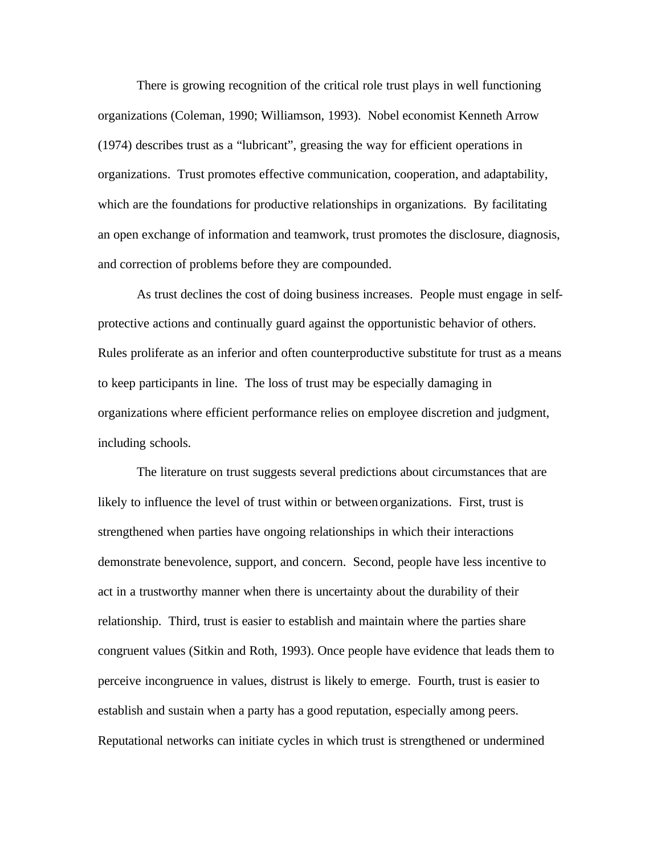There is growing recognition of the critical role trust plays in well functioning organizations (Coleman, 1990; Williamson, 1993). Nobel economist Kenneth Arrow (1974) describes trust as a "lubricant", greasing the way for efficient operations in organizations. Trust promotes effective communication, cooperation, and adaptability, which are the foundations for productive relationships in organizations. By facilitating an open exchange of information and teamwork, trust promotes the disclosure, diagnosis, and correction of problems before they are compounded.

As trust declines the cost of doing business increases. People must engage in selfprotective actions and continually guard against the opportunistic behavior of others. Rules proliferate as an inferior and often counterproductive substitute for trust as a means to keep participants in line. The loss of trust may be especially damaging in organizations where efficient performance relies on employee discretion and judgment, including schools.

The literature on trust suggests several predictions about circumstances that are likely to influence the level of trust within or between organizations. First, trust is strengthened when parties have ongoing relationships in which their interactions demonstrate benevolence, support, and concern. Second, people have less incentive to act in a trustworthy manner when there is uncertainty about the durability of their relationship. Third, trust is easier to establish and maintain where the parties share congruent values (Sitkin and Roth, 1993). Once people have evidence that leads them to perceive incongruence in values, distrust is likely to emerge. Fourth, trust is easier to establish and sustain when a party has a good reputation, especially among peers. Reputational networks can initiate cycles in which trust is strengthened or undermined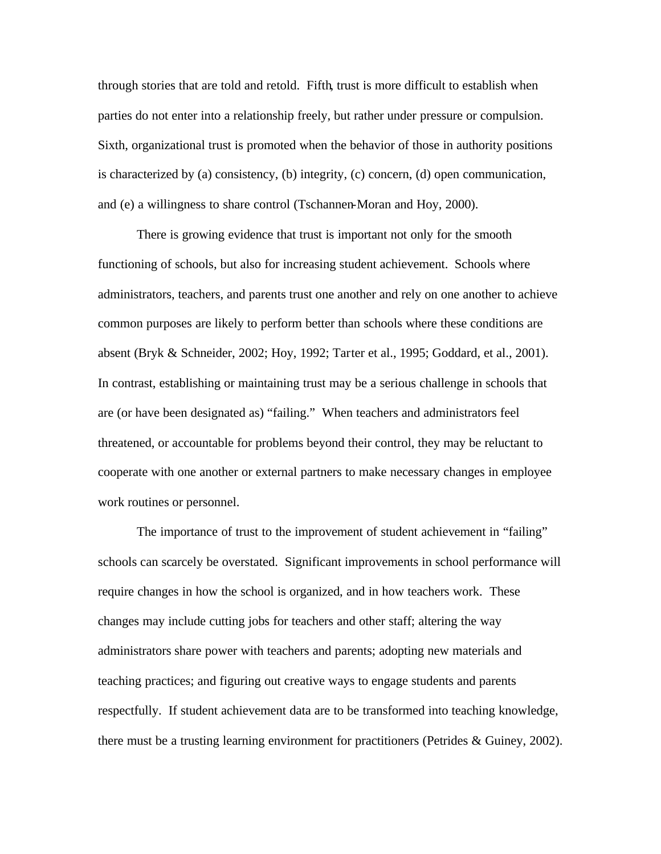through stories that are told and retold. Fifth, trust is more difficult to establish when parties do not enter into a relationship freely, but rather under pressure or compulsion. Sixth, organizational trust is promoted when the behavior of those in authority positions is characterized by (a) consistency, (b) integrity, (c) concern, (d) open communication, and (e) a willingness to share control (Tschannen-Moran and Hoy, 2000).

There is growing evidence that trust is important not only for the smooth functioning of schools, but also for increasing student achievement. Schools where administrators, teachers, and parents trust one another and rely on one another to achieve common purposes are likely to perform better than schools where these conditions are absent (Bryk & Schneider, 2002; Hoy, 1992; Tarter et al., 1995; Goddard, et al., 2001). In contrast, establishing or maintaining trust may be a serious challenge in schools that are (or have been designated as) "failing." When teachers and administrators feel threatened, or accountable for problems beyond their control, they may be reluctant to cooperate with one another or external partners to make necessary changes in employee work routines or personnel.

The importance of trust to the improvement of student achievement in "failing" schools can scarcely be overstated. Significant improvements in school performance will require changes in how the school is organized, and in how teachers work. These changes may include cutting jobs for teachers and other staff; altering the way administrators share power with teachers and parents; adopting new materials and teaching practices; and figuring out creative ways to engage students and parents respectfully. If student achievement data are to be transformed into teaching knowledge, there must be a trusting learning environment for practitioners (Petrides & Guiney, 2002).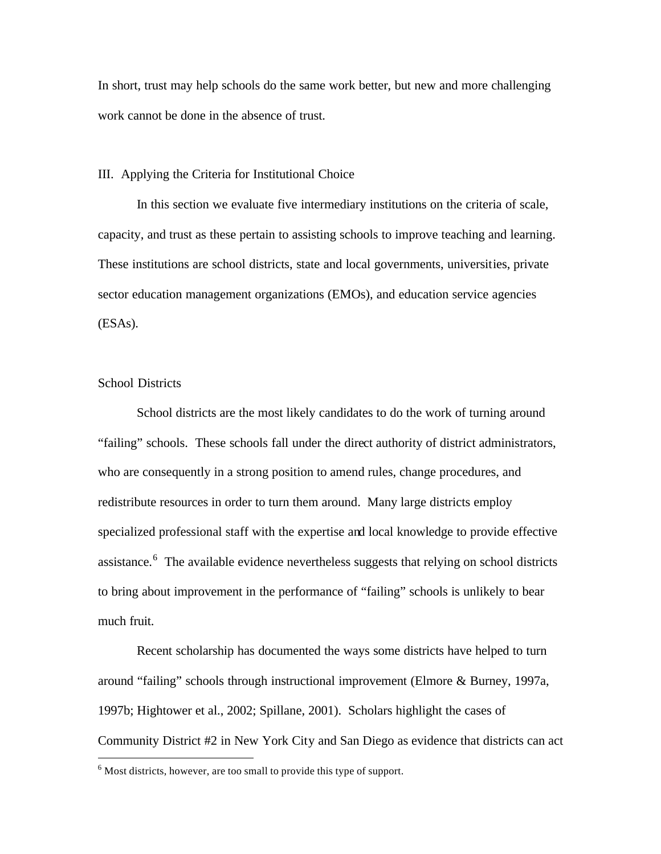In short, trust may help schools do the same work better, but new and more challenging work cannot be done in the absence of trust.

III. Applying the Criteria for Institutional Choice

In this section we evaluate five intermediary institutions on the criteria of scale, capacity, and trust as these pertain to assisting schools to improve teaching and learning. These institutions are school districts, state and local governments, universities, private sector education management organizations (EMOs), and education service agencies (ESAs).

# School Districts

 $\overline{a}$ 

School districts are the most likely candidates to do the work of turning around "failing" schools. These schools fall under the direct authority of district administrators, who are consequently in a strong position to amend rules, change procedures, and redistribute resources in order to turn them around. Many large districts employ specialized professional staff with the expertise and local knowledge to provide effective assistance.<sup>6</sup> The available evidence nevertheless suggests that relying on school districts to bring about improvement in the performance of "failing" schools is unlikely to bear much fruit.

Recent scholarship has documented the ways some districts have helped to turn around "failing" schools through instructional improvement (Elmore & Burney, 1997a, 1997b; Hightower et al., 2002; Spillane, 2001). Scholars highlight the cases of Community District #2 in New York City and San Diego as evidence that districts can act

 $6$  Most districts, however, are too small to provide this type of support.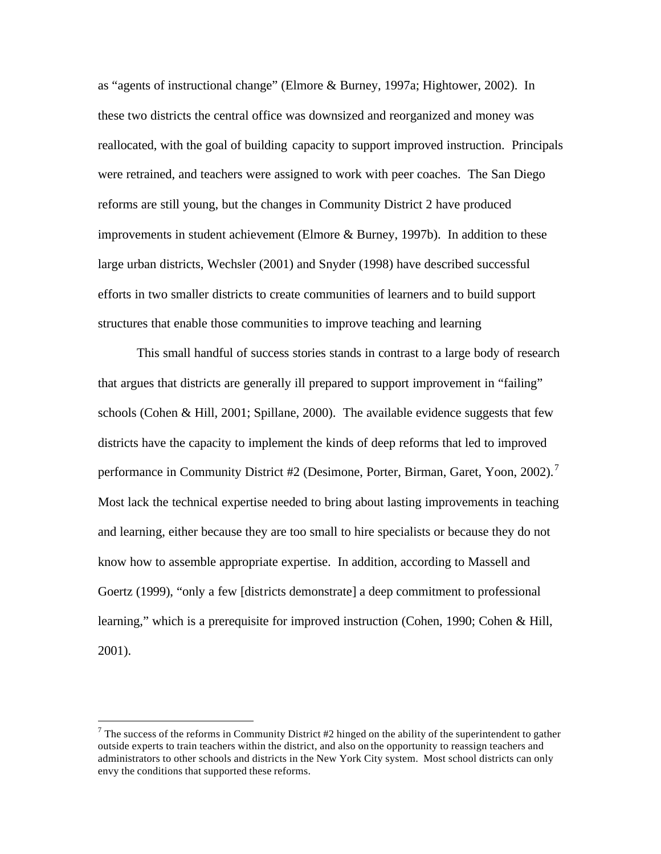as "agents of instructional change" (Elmore & Burney, 1997a; Hightower, 2002). In these two districts the central office was downsized and reorganized and money was reallocated, with the goal of building capacity to support improved instruction. Principals were retrained, and teachers were assigned to work with peer coaches. The San Diego reforms are still young, but the changes in Community District 2 have produced improvements in student achievement (Elmore & Burney, 1997b). In addition to these large urban districts, Wechsler (2001) and Snyder (1998) have described successful efforts in two smaller districts to create communities of learners and to build support structures that enable those communities to improve teaching and learning

This small handful of success stories stands in contrast to a large body of research that argues that districts are generally ill prepared to support improvement in "failing" schools (Cohen & Hill, 2001; Spillane, 2000). The available evidence suggests that few districts have the capacity to implement the kinds of deep reforms that led to improved performance in Community District #2 (Desimone, Porter, Birman, Garet, Yoon, 2002).<sup>7</sup> Most lack the technical expertise needed to bring about lasting improvements in teaching and learning, either because they are too small to hire specialists or because they do not know how to assemble appropriate expertise. In addition, according to Massell and Goertz (1999), "only a few [districts demonstrate] a deep commitment to professional learning," which is a prerequisite for improved instruction (Cohen, 1990; Cohen & Hill, 2001).

 $\overline{a}$ 

 $7$  The success of the reforms in Community District #2 hinged on the ability of the superintendent to gather outside experts to train teachers within the district, and also on the opportunity to reassign teachers and administrators to other schools and districts in the New York City system. Most school districts can only envy the conditions that supported these reforms.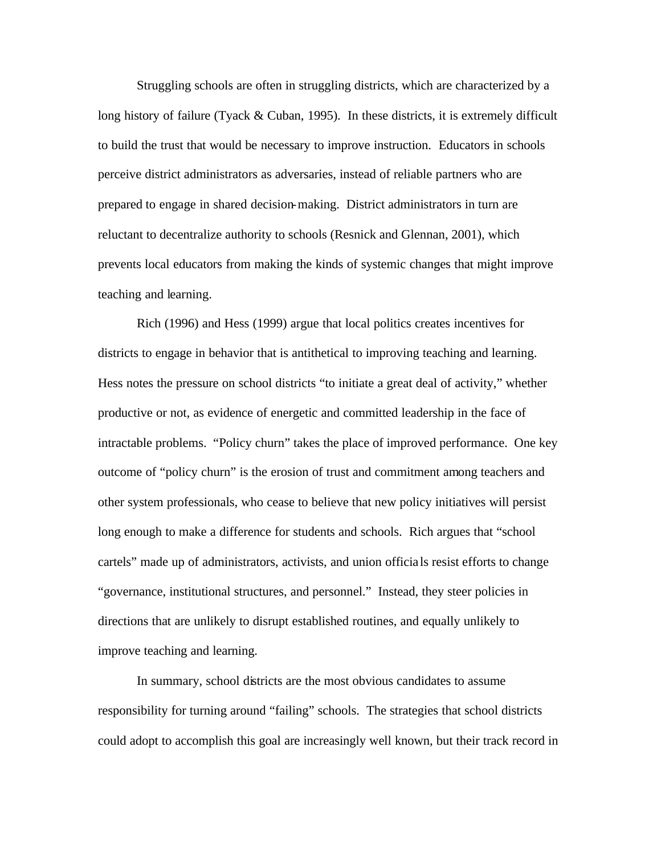Struggling schools are often in struggling districts, which are characterized by a long history of failure (Tyack & Cuban, 1995). In these districts, it is extremely difficult to build the trust that would be necessary to improve instruction. Educators in schools perceive district administrators as adversaries, instead of reliable partners who are prepared to engage in shared decision-making. District administrators in turn are reluctant to decentralize authority to schools (Resnick and Glennan, 2001), which prevents local educators from making the kinds of systemic changes that might improve teaching and learning.

Rich (1996) and Hess (1999) argue that local politics creates incentives for districts to engage in behavior that is antithetical to improving teaching and learning. Hess notes the pressure on school districts "to initiate a great deal of activity," whether productive or not, as evidence of energetic and committed leadership in the face of intractable problems. "Policy churn" takes the place of improved performance. One key outcome of "policy churn" is the erosion of trust and commitment among teachers and other system professionals, who cease to believe that new policy initiatives will persist long enough to make a difference for students and schools. Rich argues that "school cartels" made up of administrators, activists, and union officia ls resist efforts to change "governance, institutional structures, and personnel." Instead, they steer policies in directions that are unlikely to disrupt established routines, and equally unlikely to improve teaching and learning.

In summary, school districts are the most obvious candidates to assume responsibility for turning around "failing" schools. The strategies that school districts could adopt to accomplish this goal are increasingly well known, but their track record in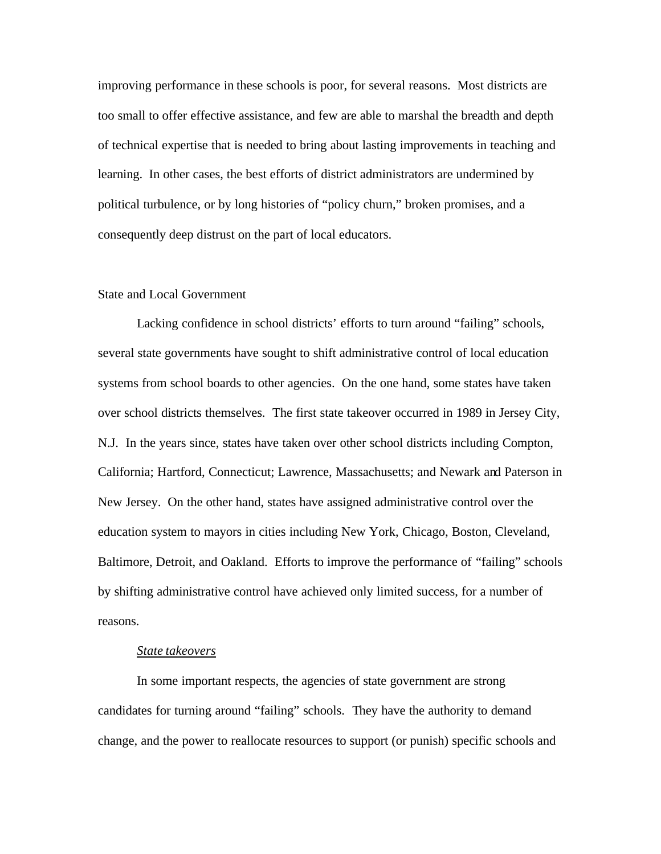improving performance in these schools is poor, for several reasons. Most districts are too small to offer effective assistance, and few are able to marshal the breadth and depth of technical expertise that is needed to bring about lasting improvements in teaching and learning. In other cases, the best efforts of district administrators are undermined by political turbulence, or by long histories of "policy churn," broken promises, and a consequently deep distrust on the part of local educators.

# State and Local Government

Lacking confidence in school districts' efforts to turn around "failing" schools, several state governments have sought to shift administrative control of local education systems from school boards to other agencies. On the one hand, some states have taken over school districts themselves. The first state takeover occurred in 1989 in Jersey City, N.J. In the years since, states have taken over other school districts including Compton, California; Hartford, Connecticut; Lawrence, Massachusetts; and Newark and Paterson in New Jersey. On the other hand, states have assigned administrative control over the education system to mayors in cities including New York, Chicago, Boston, Cleveland, Baltimore, Detroit, and Oakland. Efforts to improve the performance of "failing" schools by shifting administrative control have achieved only limited success, for a number of reasons.

# *State takeovers*

In some important respects, the agencies of state government are strong candidates for turning around "failing" schools. They have the authority to demand change, and the power to reallocate resources to support (or punish) specific schools and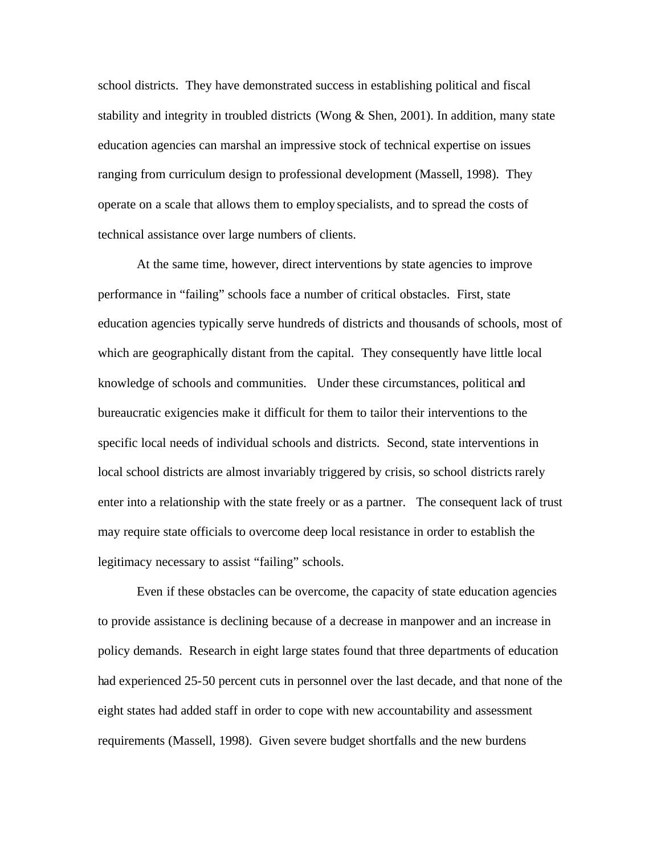school districts. They have demonstrated success in establishing political and fiscal stability and integrity in troubled districts (Wong & Shen, 2001). In addition, many state education agencies can marshal an impressive stock of technical expertise on issues ranging from curriculum design to professional development (Massell, 1998). They operate on a scale that allows them to employ specialists, and to spread the costs of technical assistance over large numbers of clients.

At the same time, however, direct interventions by state agencies to improve performance in "failing" schools face a number of critical obstacles. First, state education agencies typically serve hundreds of districts and thousands of schools, most of which are geographically distant from the capital. They consequently have little local knowledge of schools and communities. Under these circumstances, political and bureaucratic exigencies make it difficult for them to tailor their interventions to the specific local needs of individual schools and districts. Second, state interventions in local school districts are almost invariably triggered by crisis, so school districts rarely enter into a relationship with the state freely or as a partner. The consequent lack of trust may require state officials to overcome deep local resistance in order to establish the legitimacy necessary to assist "failing" schools.

Even if these obstacles can be overcome, the capacity of state education agencies to provide assistance is declining because of a decrease in manpower and an increase in policy demands. Research in eight large states found that three departments of education had experienced 25-50 percent cuts in personnel over the last decade, and that none of the eight states had added staff in order to cope with new accountability and assessment requirements (Massell, 1998). Given severe budget shortfalls and the new burdens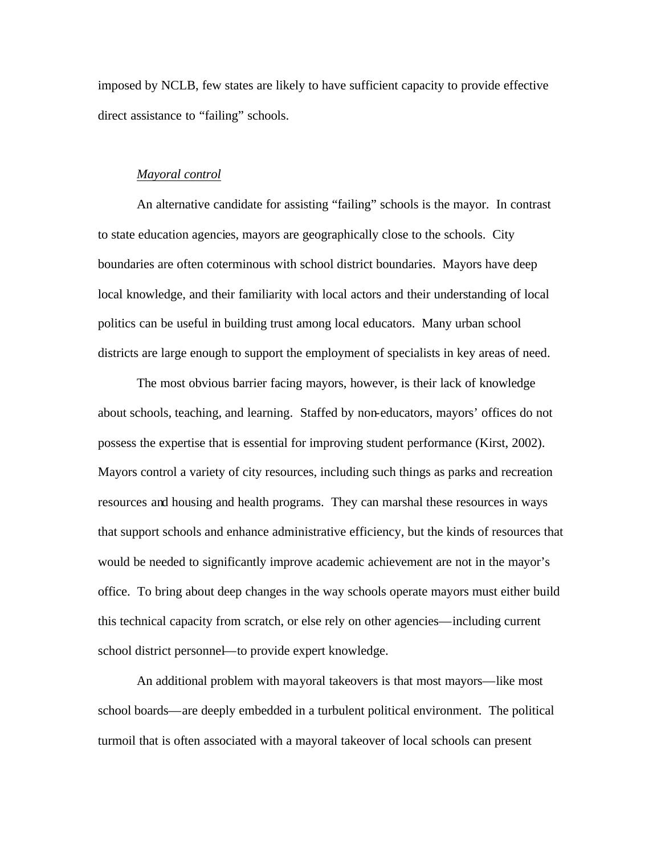imposed by NCLB, few states are likely to have sufficient capacity to provide effective direct assistance to "failing" schools.

#### *Mayoral control*

An alternative candidate for assisting "failing" schools is the mayor. In contrast to state education agencies, mayors are geographically close to the schools. City boundaries are often coterminous with school district boundaries. Mayors have deep local knowledge, and their familiarity with local actors and their understanding of local politics can be useful in building trust among local educators. Many urban school districts are large enough to support the employment of specialists in key areas of need.

The most obvious barrier facing mayors, however, is their lack of knowledge about schools, teaching, and learning. Staffed by non-educators, mayors' offices do not possess the expertise that is essential for improving student performance (Kirst, 2002). Mayors control a variety of city resources, including such things as parks and recreation resources and housing and health programs. They can marshal these resources in ways that support schools and enhance administrative efficiency, but the kinds of resources that would be needed to significantly improve academic achievement are not in the mayor's office. To bring about deep changes in the way schools operate mayors must either build this technical capacity from scratch, or else rely on other agencies—including current school district personnel—to provide expert knowledge.

An additional problem with mayoral takeovers is that most mayors—like most school boards—are deeply embedded in a turbulent political environment. The political turmoil that is often associated with a mayoral takeover of local schools can present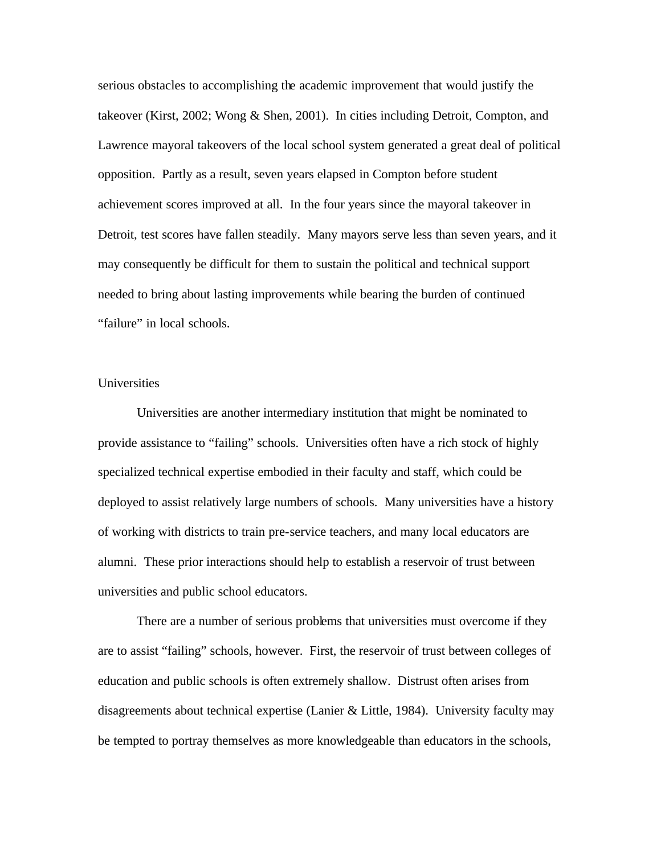serious obstacles to accomplishing the academic improvement that would justify the takeover (Kirst, 2002; Wong & Shen, 2001). In cities including Detroit, Compton, and Lawrence mayoral takeovers of the local school system generated a great deal of political opposition. Partly as a result, seven years elapsed in Compton before student achievement scores improved at all. In the four years since the mayoral takeover in Detroit, test scores have fallen steadily. Many mayors serve less than seven years, and it may consequently be difficult for them to sustain the political and technical support needed to bring about lasting improvements while bearing the burden of continued "failure" in local schools.

# Universities

Universities are another intermediary institution that might be nominated to provide assistance to "failing" schools. Universities often have a rich stock of highly specialized technical expertise embodied in their faculty and staff, which could be deployed to assist relatively large numbers of schools. Many universities have a history of working with districts to train pre-service teachers, and many local educators are alumni. These prior interactions should help to establish a reservoir of trust between universities and public school educators.

There are a number of serious problems that universities must overcome if they are to assist "failing" schools, however. First, the reservoir of trust between colleges of education and public schools is often extremely shallow. Distrust often arises from disagreements about technical expertise (Lanier & Little, 1984). University faculty may be tempted to portray themselves as more knowledgeable than educators in the schools,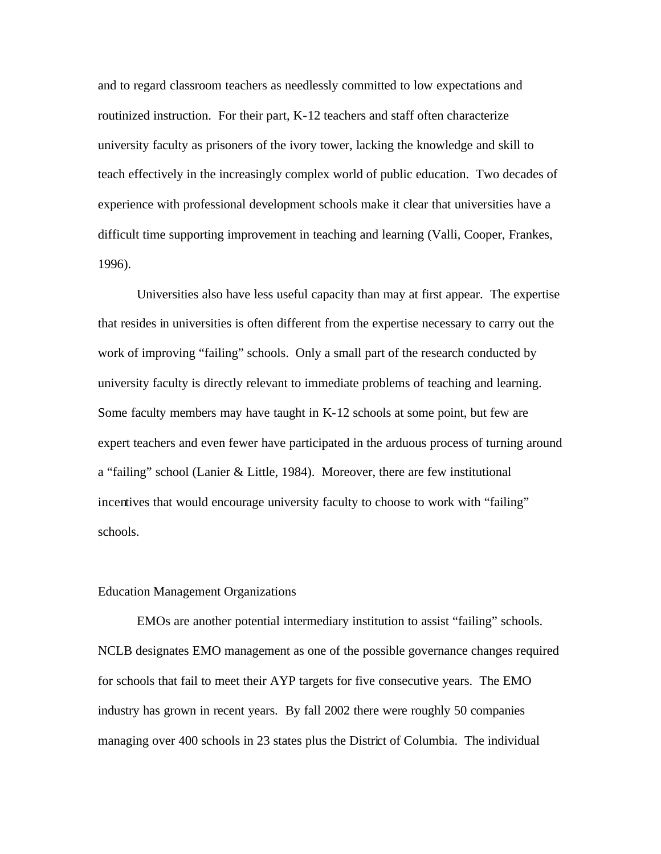and to regard classroom teachers as needlessly committed to low expectations and routinized instruction. For their part, K-12 teachers and staff often characterize university faculty as prisoners of the ivory tower, lacking the knowledge and skill to teach effectively in the increasingly complex world of public education. Two decades of experience with professional development schools make it clear that universities have a difficult time supporting improvement in teaching and learning (Valli, Cooper, Frankes, 1996).

Universities also have less useful capacity than may at first appear. The expertise that resides in universities is often different from the expertise necessary to carry out the work of improving "failing" schools. Only a small part of the research conducted by university faculty is directly relevant to immediate problems of teaching and learning. Some faculty members may have taught in K-12 schools at some point, but few are expert teachers and even fewer have participated in the arduous process of turning around a "failing" school (Lanier & Little, 1984). Moreover, there are few institutional incentives that would encourage university faculty to choose to work with "failing" schools.

# Education Management Organizations

EMOs are another potential intermediary institution to assist "failing" schools. NCLB designates EMO management as one of the possible governance changes required for schools that fail to meet their AYP targets for five consecutive years. The EMO industry has grown in recent years. By fall 2002 there were roughly 50 companies managing over 400 schools in 23 states plus the District of Columbia. The individual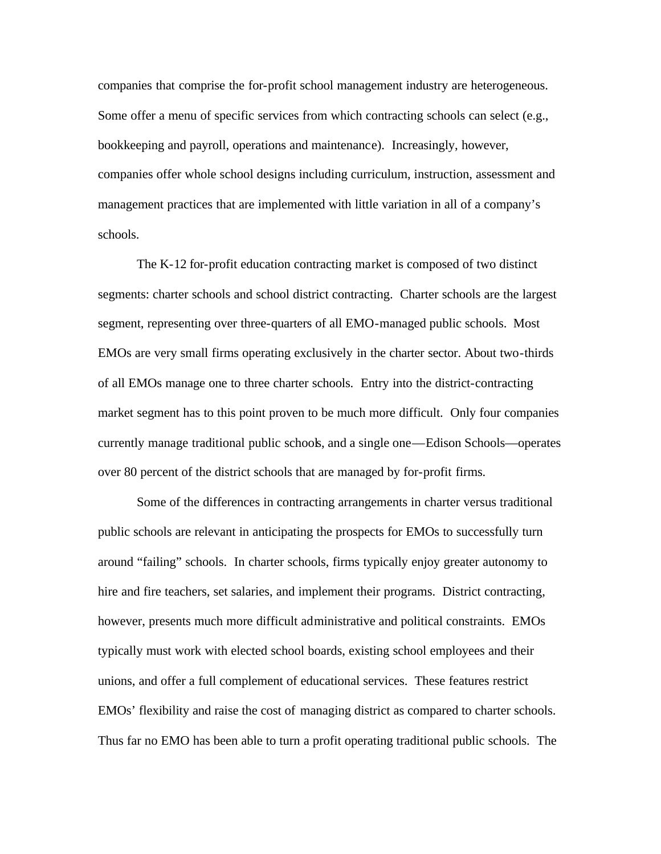companies that comprise the for-profit school management industry are heterogeneous. Some offer a menu of specific services from which contracting schools can select (e.g., bookkeeping and payroll, operations and maintenance). Increasingly, however, companies offer whole school designs including curriculum, instruction, assessment and management practices that are implemented with little variation in all of a company's schools.

The K-12 for-profit education contracting market is composed of two distinct segments: charter schools and school district contracting. Charter schools are the largest segment, representing over three-quarters of all EMO-managed public schools. Most EMOs are very small firms operating exclusively in the charter sector. About two-thirds of all EMOs manage one to three charter schools. Entry into the district-contracting market segment has to this point proven to be much more difficult. Only four companies currently manage traditional public schools, and a single one—Edison Schools—operates over 80 percent of the district schools that are managed by for-profit firms.

Some of the differences in contracting arrangements in charter versus traditional public schools are relevant in anticipating the prospects for EMOs to successfully turn around "failing" schools. In charter schools, firms typically enjoy greater autonomy to hire and fire teachers, set salaries, and implement their programs. District contracting, however, presents much more difficult administrative and political constraints. EMOs typically must work with elected school boards, existing school employees and their unions, and offer a full complement of educational services. These features restrict EMOs' flexibility and raise the cost of managing district as compared to charter schools. Thus far no EMO has been able to turn a profit operating traditional public schools. The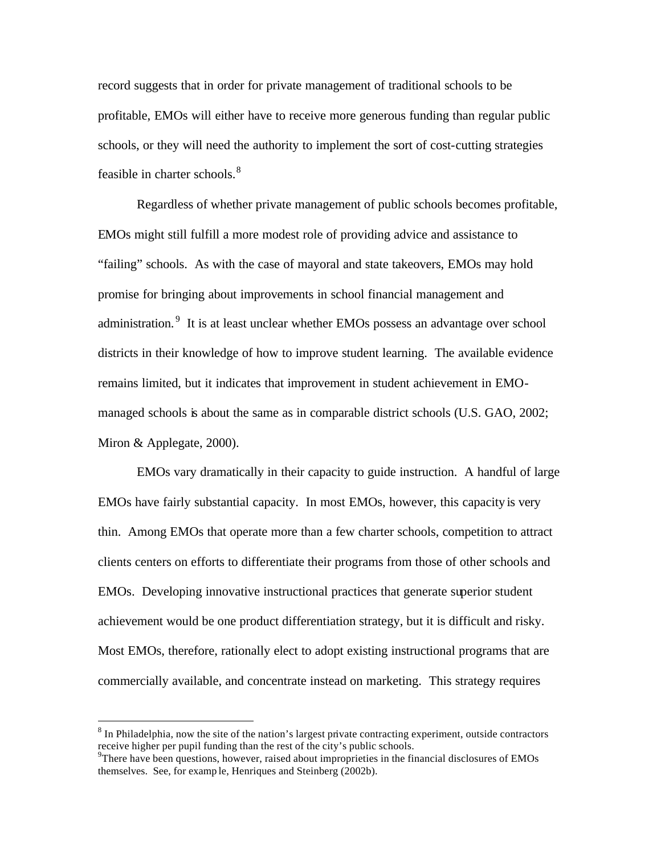record suggests that in order for private management of traditional schools to be profitable, EMOs will either have to receive more generous funding than regular public schools, or they will need the authority to implement the sort of cost-cutting strategies feasible in charter schools.<sup>8</sup>

Regardless of whether private management of public schools becomes profitable, EMOs might still fulfill a more modest role of providing advice and assistance to "failing" schools. As with the case of mayoral and state takeovers, EMOs may hold promise for bringing about improvements in school financial management and administration.<sup>9</sup> It is at least unclear whether EMOs possess an advantage over school districts in their knowledge of how to improve student learning. The available evidence remains limited, but it indicates that improvement in student achievement in EMOmanaged schools is about the same as in comparable district schools (U.S. GAO, 2002; Miron & Applegate, 2000).

EMOs vary dramatically in their capacity to guide instruction. A handful of large EMOs have fairly substantial capacity. In most EMOs, however, this capacity is very thin. Among EMOs that operate more than a few charter schools, competition to attract clients centers on efforts to differentiate their programs from those of other schools and EMOs. Developing innovative instructional practices that generate superior student achievement would be one product differentiation strategy, but it is difficult and risky. Most EMOs, therefore, rationally elect to adopt existing instructional programs that are commercially available, and concentrate instead on marketing. This strategy requires

 $\overline{a}$ 

 $8 \text{ In Philadelphia, now the site of the nation's largest private contracting experiment, outside contracts.}$ receive higher per pupil funding than the rest of the city's public schools.

<sup>&</sup>lt;sup>9</sup>There have been questions, however, raised about improprieties in the financial disclosures of EMOs themselves. See, for examp le, Henriques and Steinberg (2002b).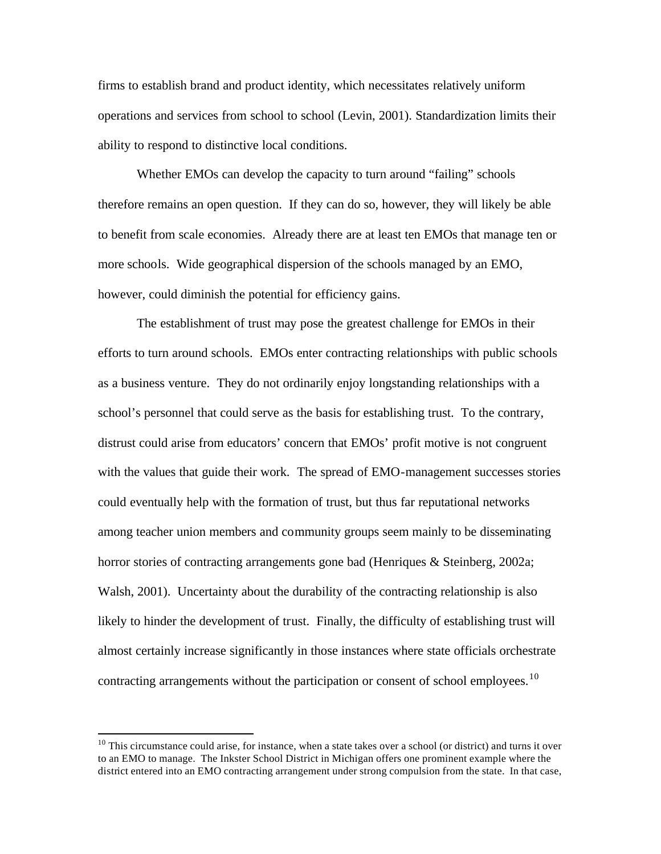firms to establish brand and product identity, which necessitates relatively uniform operations and services from school to school (Levin, 2001). Standardization limits their ability to respond to distinctive local conditions.

Whether EMOs can develop the capacity to turn around "failing" schools therefore remains an open question. If they can do so, however, they will likely be able to benefit from scale economies. Already there are at least ten EMOs that manage ten or more schools. Wide geographical dispersion of the schools managed by an EMO, however, could diminish the potential for efficiency gains.

The establishment of trust may pose the greatest challenge for EMOs in their efforts to turn around schools. EMOs enter contracting relationships with public schools as a business venture. They do not ordinarily enjoy longstanding relationships with a school's personnel that could serve as the basis for establishing trust. To the contrary, distrust could arise from educators' concern that EMOs' profit motive is not congruent with the values that guide their work. The spread of EMO-management successes stories could eventually help with the formation of trust, but thus far reputational networks among teacher union members and community groups seem mainly to be disseminating horror stories of contracting arrangements gone bad (Henriques & Steinberg, 2002a; Walsh, 2001). Uncertainty about the durability of the contracting relationship is also likely to hinder the development of trust. Finally, the difficulty of establishing trust will almost certainly increase significantly in those instances where state officials orchestrate contracting arrangements without the participation or consent of school employees.<sup>10</sup>

 $\overline{a}$ 

 $10$  This circumstance could arise, for instance, when a state takes over a school (or district) and turns it over to an EMO to manage. The Inkster School District in Michigan offers one prominent example where the district entered into an EMO contracting arrangement under strong compulsion from the state. In that case,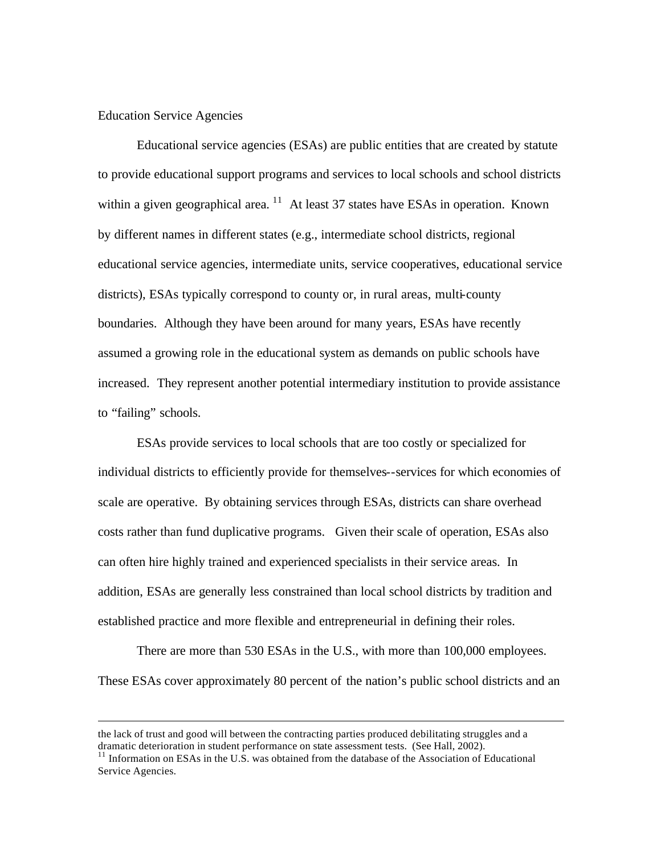# Education Service Agencies

 $\overline{a}$ 

Educational service agencies (ESAs) are public entities that are created by statute to provide educational support programs and services to local schools and school districts within a given geographical area.  $^{11}$  At least 37 states have ESAs in operation. Known by different names in different states (e.g., intermediate school districts, regional educational service agencies, intermediate units, service cooperatives, educational service districts), ESAs typically correspond to county or, in rural areas, multi-county boundaries. Although they have been around for many years, ESAs have recently assumed a growing role in the educational system as demands on public schools have increased. They represent another potential intermediary institution to provide assistance to "failing" schools.

ESAs provide services to local schools that are too costly or specialized for individual districts to efficiently provide for themselves--services for which economies of scale are operative. By obtaining services through ESAs, districts can share overhead costs rather than fund duplicative programs. Given their scale of operation, ESAs also can often hire highly trained and experienced specialists in their service areas. In addition, ESAs are generally less constrained than local school districts by tradition and established practice and more flexible and entrepreneurial in defining their roles.

There are more than 530 ESAs in the U.S., with more than 100,000 employees. These ESAs cover approximately 80 percent of the nation's public school districts and an

the lack of trust and good will between the contracting parties produced debilitating struggles and a dramatic deterioration in student performance on state assessment tests. (See Hall, 2002).

 $11$  Information on ESAs in the U.S. was obtained from the database of the Association of Educational Service Agencies.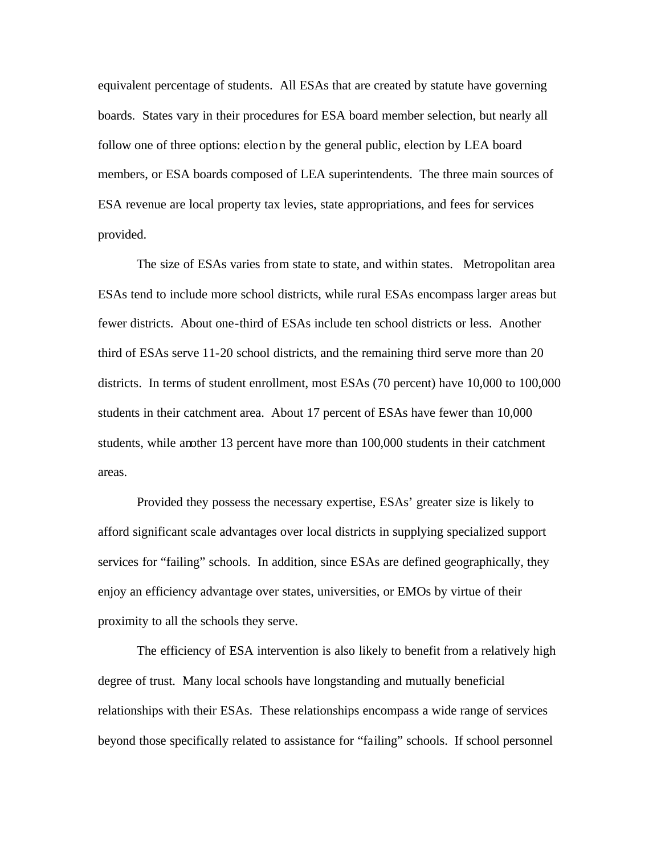equivalent percentage of students. All ESAs that are created by statute have governing boards. States vary in their procedures for ESA board member selection, but nearly all follow one of three options: election by the general public, election by LEA board members, or ESA boards composed of LEA superintendents. The three main sources of ESA revenue are local property tax levies, state appropriations, and fees for services provided.

The size of ESAs varies from state to state, and within states. Metropolitan area ESAs tend to include more school districts, while rural ESAs encompass larger areas but fewer districts. About one-third of ESAs include ten school districts or less. Another third of ESAs serve 11-20 school districts, and the remaining third serve more than 20 districts. In terms of student enrollment, most ESAs (70 percent) have 10,000 to 100,000 students in their catchment area. About 17 percent of ESAs have fewer than 10,000 students, while another 13 percent have more than 100,000 students in their catchment areas.

Provided they possess the necessary expertise, ESAs' greater size is likely to afford significant scale advantages over local districts in supplying specialized support services for "failing" schools. In addition, since ESAs are defined geographically, they enjoy an efficiency advantage over states, universities, or EMOs by virtue of their proximity to all the schools they serve.

The efficiency of ESA intervention is also likely to benefit from a relatively high degree of trust. Many local schools have longstanding and mutually beneficial relationships with their ESAs. These relationships encompass a wide range of services beyond those specifically related to assistance for "failing" schools. If school personnel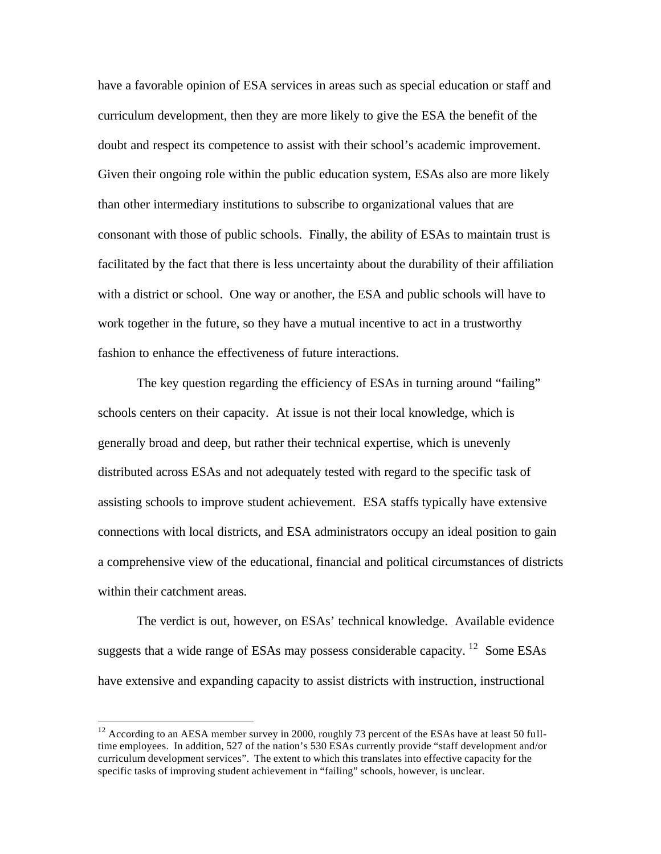have a favorable opinion of ESA services in areas such as special education or staff and curriculum development, then they are more likely to give the ESA the benefit of the doubt and respect its competence to assist with their school's academic improvement. Given their ongoing role within the public education system, ESAs also are more likely than other intermediary institutions to subscribe to organizational values that are consonant with those of public schools. Finally, the ability of ESAs to maintain trust is facilitated by the fact that there is less uncertainty about the durability of their affiliation with a district or school. One way or another, the ESA and public schools will have to work together in the future, so they have a mutual incentive to act in a trustworthy fashion to enhance the effectiveness of future interactions.

The key question regarding the efficiency of ESAs in turning around "failing" schools centers on their capacity. At issue is not their local knowledge, which is generally broad and deep, but rather their technical expertise, which is unevenly distributed across ESAs and not adequately tested with regard to the specific task of assisting schools to improve student achievement. ESA staffs typically have extensive connections with local districts, and ESA administrators occupy an ideal position to gain a comprehensive view of the educational, financial and political circumstances of districts within their catchment areas.

The verdict is out, however, on ESAs' technical knowledge. Available evidence suggests that a wide range of ESAs may possess considerable capacity. <sup>12</sup> Some ESAs have extensive and expanding capacity to assist districts with instruction, instructional

 $\overline{a}$ 

 $12$  According to an AESA member survey in 2000, roughly 73 percent of the ESAs have at least 50 fulltime employees. In addition, 527 of the nation's 530 ESAs currently provide "staff development and/or curriculum development services". The extent to which this translates into effective capacity for the specific tasks of improving student achievement in "failing" schools, however, is unclear.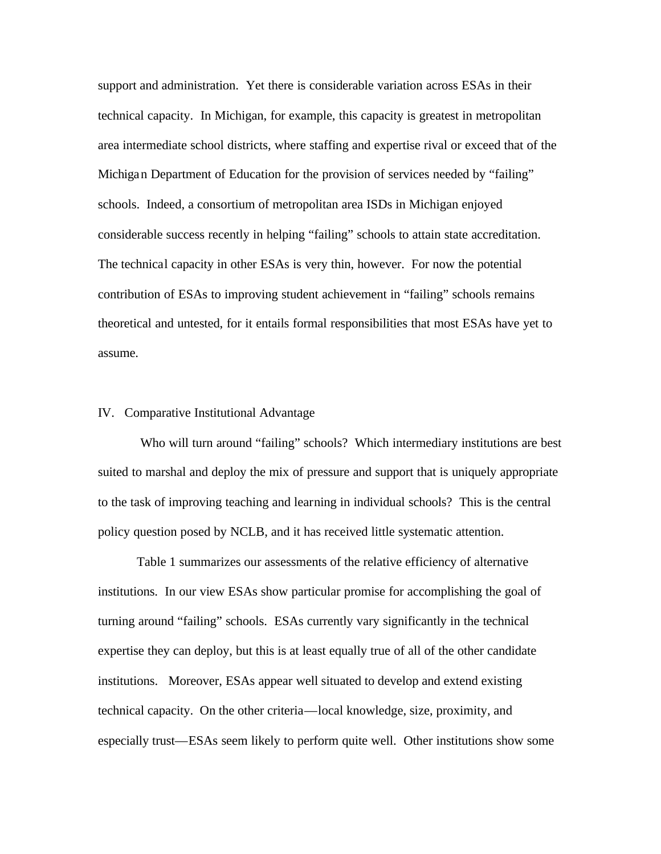support and administration. Yet there is considerable variation across ESAs in their technical capacity. In Michigan, for example, this capacity is greatest in metropolitan area intermediate school districts, where staffing and expertise rival or exceed that of the Michigan Department of Education for the provision of services needed by "failing" schools. Indeed, a consortium of metropolitan area ISDs in Michigan enjoyed considerable success recently in helping "failing" schools to attain state accreditation. The technical capacity in other ESAs is very thin, however. For now the potential contribution of ESAs to improving student achievement in "failing" schools remains theoretical and untested, for it entails formal responsibilities that most ESAs have yet to assume.

# IV. Comparative Institutional Advantage

 Who will turn around "failing" schools? Which intermediary institutions are best suited to marshal and deploy the mix of pressure and support that is uniquely appropriate to the task of improving teaching and learning in individual schools? This is the central policy question posed by NCLB, and it has received little systematic attention.

Table 1 summarizes our assessments of the relative efficiency of alternative institutions. In our view ESAs show particular promise for accomplishing the goal of turning around "failing" schools. ESAs currently vary significantly in the technical expertise they can deploy, but this is at least equally true of all of the other candidate institutions. Moreover, ESAs appear well situated to develop and extend existing technical capacity. On the other criteria—local knowledge, size, proximity, and especially trust—ESAs seem likely to perform quite well. Other institutions show some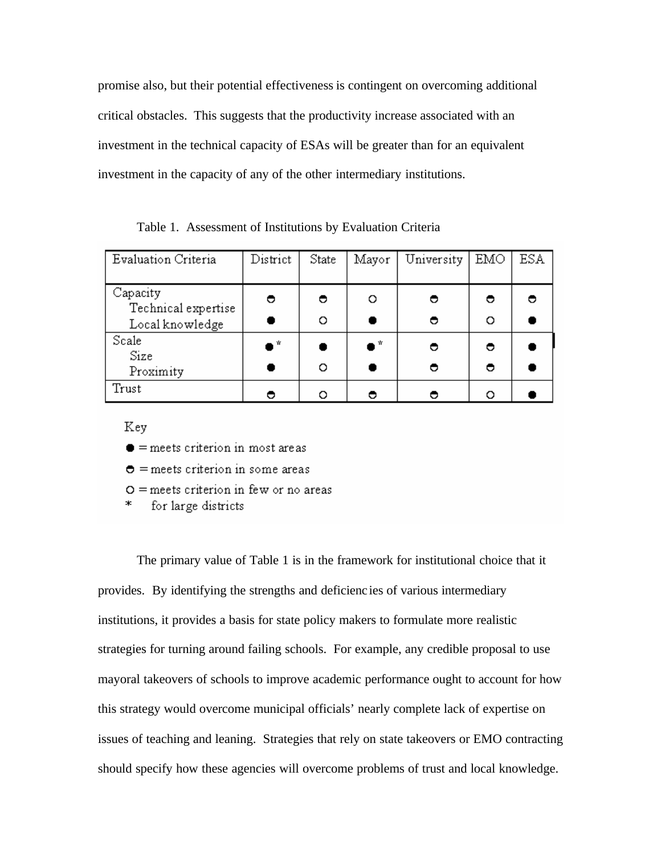promise also, but their potential effectiveness is contingent on overcoming additional critical obstacles. This suggests that the productivity increase associated with an investment in the technical capacity of ESAs will be greater than for an equivalent investment in the capacity of any of the other intermediary institutions.

Table 1. Assessment of Institutions by Evaluation Criteria

| Evaluation Criteria             | District | State | Mayor       | University | EMO | <b>ESA</b> |
|---------------------------------|----------|-------|-------------|------------|-----|------------|
| Capacity<br>Technical expertise | 0        | ◓     | O           | ◓          | ◓   |            |
| Local knowledge                 |          | O     |             | Θ          | O   |            |
| Scale<br>Size                   | ● *      |       | $\bullet$ * | ◓          | ◓   |            |
| Proximity                       |          | O     |             |            | ◓   |            |
| Trust                           |          | O     |             |            | O   |            |

Key

- $\bullet$  = meets criterion in most areas
- $\bullet$  = meets criterion in some areas
- $O =$  meets criterion in few or no areas
- ж. for large districts

The primary value of Table 1 is in the framework for institutional choice that it provides. By identifying the strengths and deficienc ies of various intermediary institutions, it provides a basis for state policy makers to formulate more realistic strategies for turning around failing schools. For example, any credible proposal to use mayoral takeovers of schools to improve academic performance ought to account for how this strategy would overcome municipal officials' nearly complete lack of expertise on issues of teaching and leaning. Strategies that rely on state takeovers or EMO contracting should specify how these agencies will overcome problems of trust and local knowledge.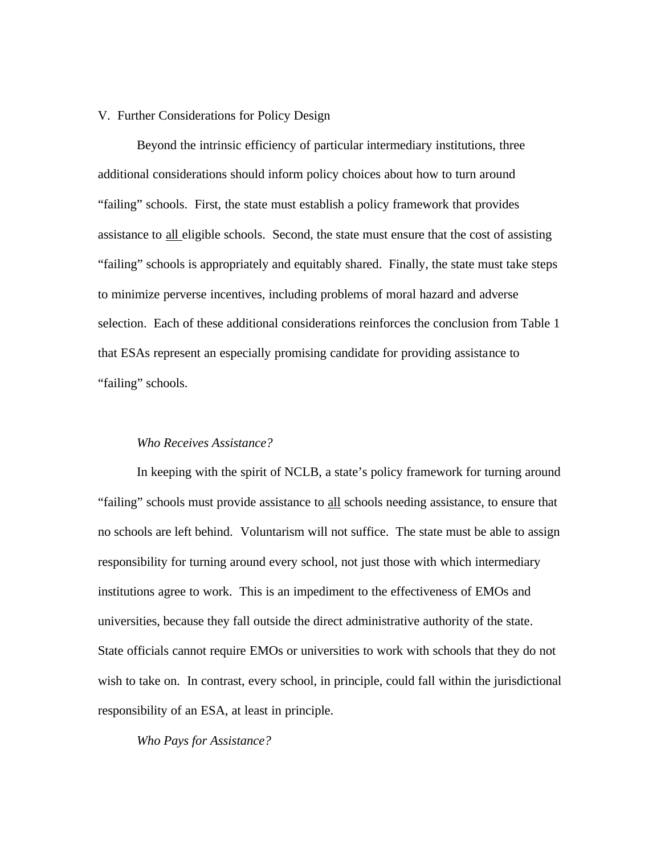# V. Further Considerations for Policy Design

Beyond the intrinsic efficiency of particular intermediary institutions, three additional considerations should inform policy choices about how to turn around "failing" schools. First, the state must establish a policy framework that provides assistance to all eligible schools. Second, the state must ensure that the cost of assisting "failing" schools is appropriately and equitably shared. Finally, the state must take steps to minimize perverse incentives, including problems of moral hazard and adverse selection. Each of these additional considerations reinforces the conclusion from Table 1 that ESAs represent an especially promising candidate for providing assistance to "failing" schools.

# *Who Receives Assistance?*

In keeping with the spirit of NCLB, a state's policy framework for turning around "failing" schools must provide assistance to all schools needing assistance, to ensure that no schools are left behind. Voluntarism will not suffice. The state must be able to assign responsibility for turning around every school, not just those with which intermediary institutions agree to work. This is an impediment to the effectiveness of EMOs and universities, because they fall outside the direct administrative authority of the state. State officials cannot require EMOs or universities to work with schools that they do not wish to take on. In contrast, every school, in principle, could fall within the jurisdictional responsibility of an ESA, at least in principle.

*Who Pays for Assistance?*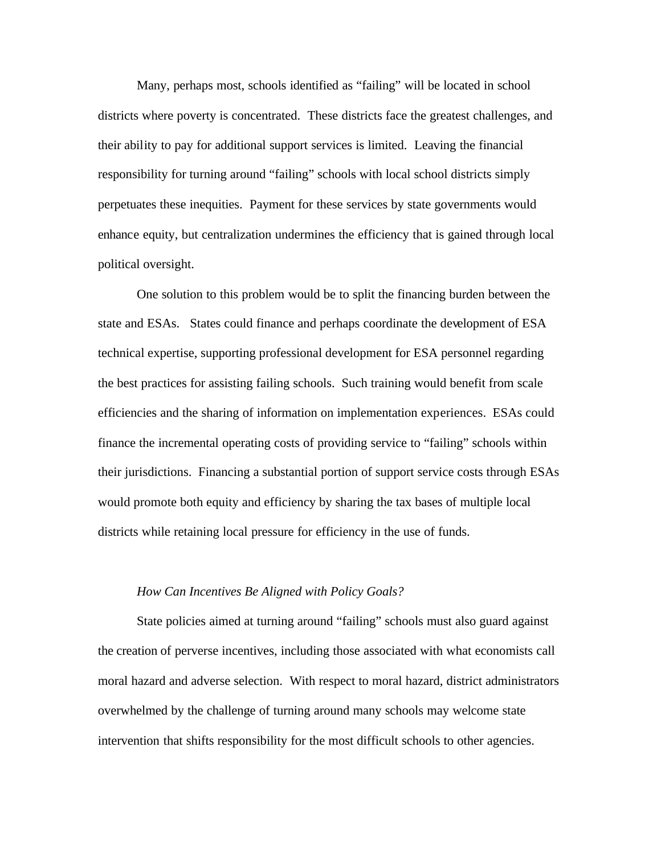Many, perhaps most, schools identified as "failing" will be located in school districts where poverty is concentrated. These districts face the greatest challenges, and their ability to pay for additional support services is limited. Leaving the financial responsibility for turning around "failing" schools with local school districts simply perpetuates these inequities. Payment for these services by state governments would enhance equity, but centralization undermines the efficiency that is gained through local political oversight.

One solution to this problem would be to split the financing burden between the state and ESAs. States could finance and perhaps coordinate the development of ESA technical expertise, supporting professional development for ESA personnel regarding the best practices for assisting failing schools. Such training would benefit from scale efficiencies and the sharing of information on implementation experiences. ESAs could finance the incremental operating costs of providing service to "failing" schools within their jurisdictions. Financing a substantial portion of support service costs through ESAs would promote both equity and efficiency by sharing the tax bases of multiple local districts while retaining local pressure for efficiency in the use of funds.

# *How Can Incentives Be Aligned with Policy Goals?*

State policies aimed at turning around "failing" schools must also guard against the creation of perverse incentives, including those associated with what economists call moral hazard and adverse selection. With respect to moral hazard, district administrators overwhelmed by the challenge of turning around many schools may welcome state intervention that shifts responsibility for the most difficult schools to other agencies.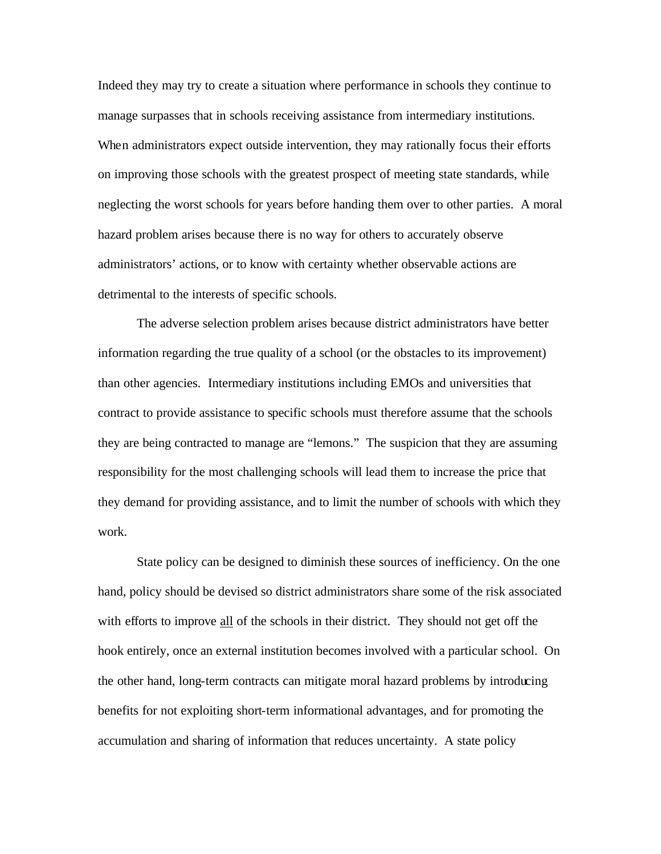Indeed they may try to create a situation where performance in schools they continue to manage surpasses that in schools receiving assistance from intermediary institutions. When administrators expect outside intervention, they may rationally focus their efforts on improving those schools with the greatest prospect of meeting state standards, while neglecting the worst schools for years before handing them over to other parties. A moral hazard problem arises because there is no way for others to accurately observe administrators' actions, or to know with certainty whether observable actions are detrimental to the interests of specific schools.

The adverse selection problem arises because district administrators have better information regarding the true quality of a school (or the obstacles to its improvement) than other agencies. Intermediary institutions including EMOs and universities that contract to provide assistance to specific schools must therefore assume that the schools they are being contracted to manage are "lemons." The suspicion that they are assuming responsibility for the most challenging schools will lead them to increase the price that they demand for providing assistance, and to limit the number of schools with which they work.

State policy can be designed to diminish these sources of inefficiency. On the one hand, policy should be devised so district administrators share some of the risk associated with efforts to improve all of the schools in their district. They should not get off the hook entirely, once an external institution becomes involved with a particular school. On the other hand, long-term contracts can mitigate moral hazard problems by introducing benefits for not exploiting short-term informational advantages, and for promoting the accumulation and sharing of information that reduces uncertainty. A state policy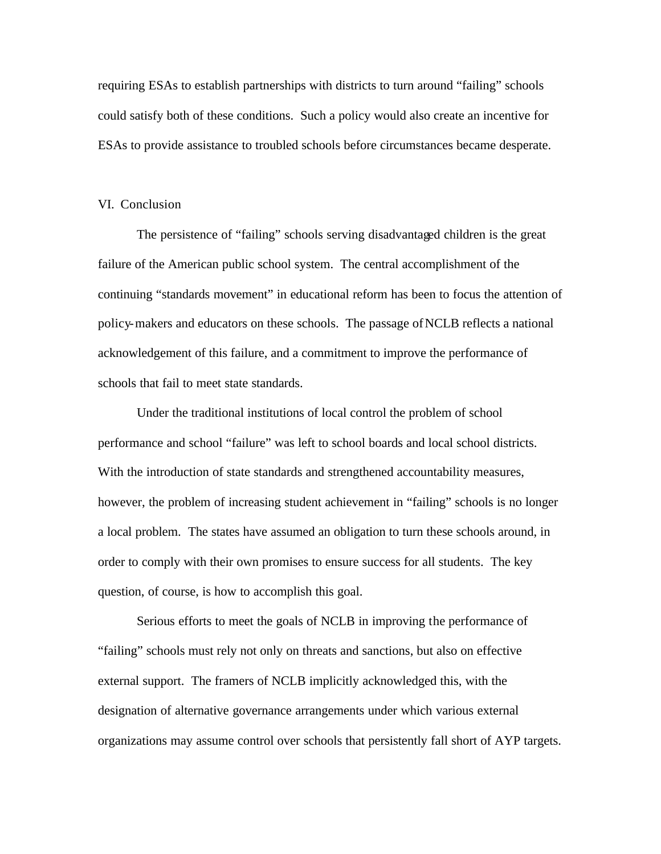requiring ESAs to establish partnerships with districts to turn around "failing" schools could satisfy both of these conditions. Such a policy would also create an incentive for ESAs to provide assistance to troubled schools before circumstances became desperate.

# VI. Conclusion

The persistence of "failing" schools serving disadvantaged children is the great failure of the American public school system. The central accomplishment of the continuing "standards movement" in educational reform has been to focus the attention of policy-makers and educators on these schools. The passage of NCLB reflects a national acknowledgement of this failure, and a commitment to improve the performance of schools that fail to meet state standards.

Under the traditional institutions of local control the problem of school performance and school "failure" was left to school boards and local school districts. With the introduction of state standards and strengthened accountability measures, however, the problem of increasing student achievement in "failing" schools is no longer a local problem. The states have assumed an obligation to turn these schools around, in order to comply with their own promises to ensure success for all students. The key question, of course, is how to accomplish this goal.

Serious efforts to meet the goals of NCLB in improving the performance of "failing" schools must rely not only on threats and sanctions, but also on effective external support. The framers of NCLB implicitly acknowledged this, with the designation of alternative governance arrangements under which various external organizations may assume control over schools that persistently fall short of AYP targets.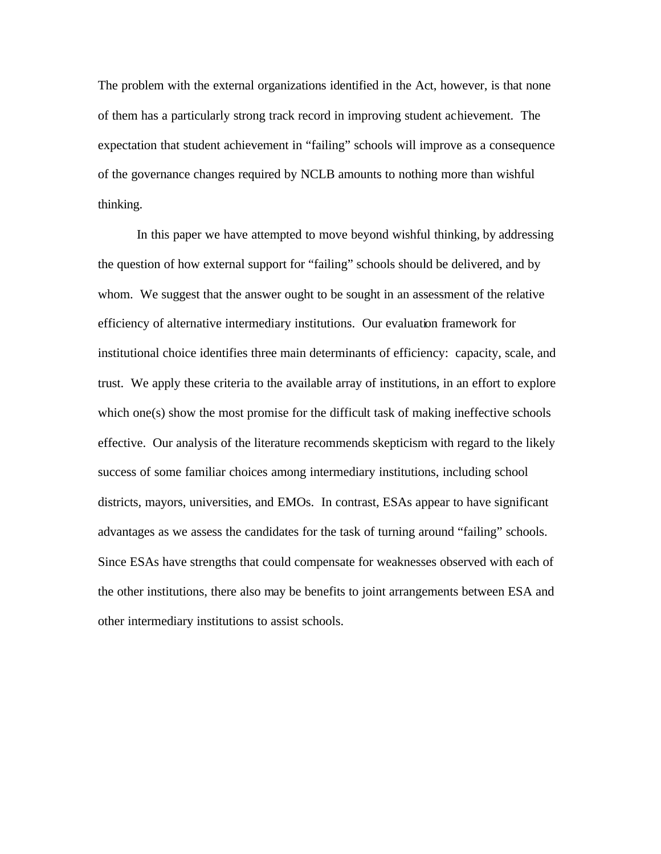The problem with the external organizations identified in the Act, however, is that none of them has a particularly strong track record in improving student achievement. The expectation that student achievement in "failing" schools will improve as a consequence of the governance changes required by NCLB amounts to nothing more than wishful thinking.

In this paper we have attempted to move beyond wishful thinking, by addressing the question of how external support for "failing" schools should be delivered, and by whom. We suggest that the answer ought to be sought in an assessment of the relative efficiency of alternative intermediary institutions. Our evaluation framework for institutional choice identifies three main determinants of efficiency: capacity, scale, and trust. We apply these criteria to the available array of institutions, in an effort to explore which one(s) show the most promise for the difficult task of making ineffective schools effective. Our analysis of the literature recommends skepticism with regard to the likely success of some familiar choices among intermediary institutions, including school districts, mayors, universities, and EMOs. In contrast, ESAs appear to have significant advantages as we assess the candidates for the task of turning around "failing" schools. Since ESAs have strengths that could compensate for weaknesses observed with each of the other institutions, there also may be benefits to joint arrangements between ESA and other intermediary institutions to assist schools.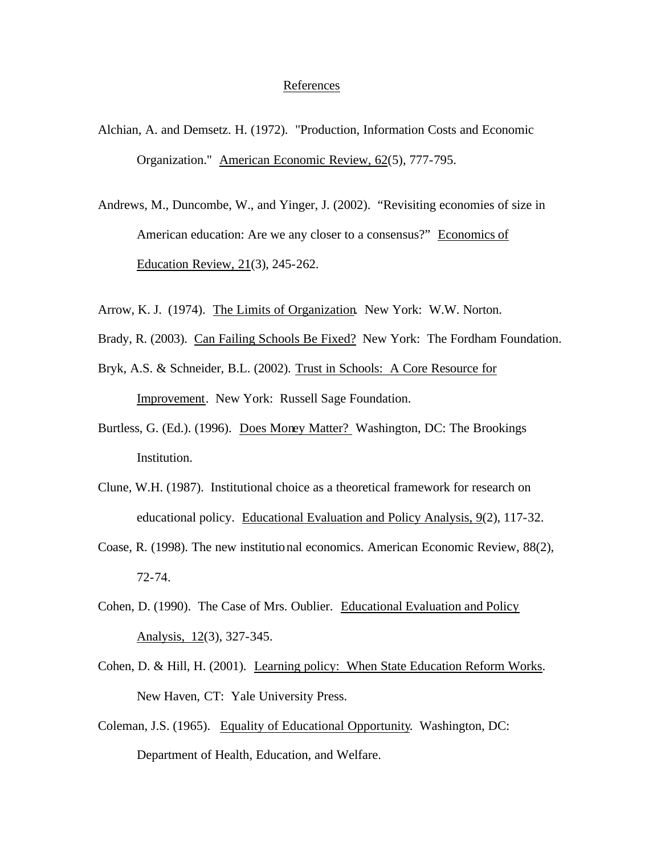# References

- Alchian, A. and Demsetz. H. (1972). "Production, Information Costs and Economic Organization." American Economic Review, 62(5), 777-795.
- Andrews, M., Duncombe, W., and Yinger, J. (2002). "Revisiting economies of size in American education: Are we any closer to a consensus?" Economics of Education Review, 21(3), 245-262.
- Arrow, K. J. (1974). The Limits of Organization. New York: W.W. Norton.
- Brady, R. (2003). Can Failing Schools Be Fixed?New York: The Fordham Foundation.
- Bryk, A.S. & Schneider, B.L. (2002). Trust in Schools: A Core Resource for Improvement. New York: Russell Sage Foundation.
- Burtless, G. (Ed.). (1996). Does Money Matter? Washington, DC: The Brookings Institution.
- Clune, W.H. (1987). Institutional choice as a theoretical framework for research on educational policy. Educational Evaluation and Policy Analysis, 9(2), 117-32.
- Coase, R. (1998). The new institutional economics. American Economic Review, 88(2), 72-74.
- Cohen, D. (1990). The Case of Mrs. Oublier. Educational Evaluation and Policy Analysis, 12(3), 327-345.
- Cohen, D. & Hill, H. (2001). Learning policy: When State Education Reform Works. New Haven, CT: Yale University Press.
- Coleman, J.S. (1965). Equality of Educational Opportunity. Washington, DC: Department of Health, Education, and Welfare.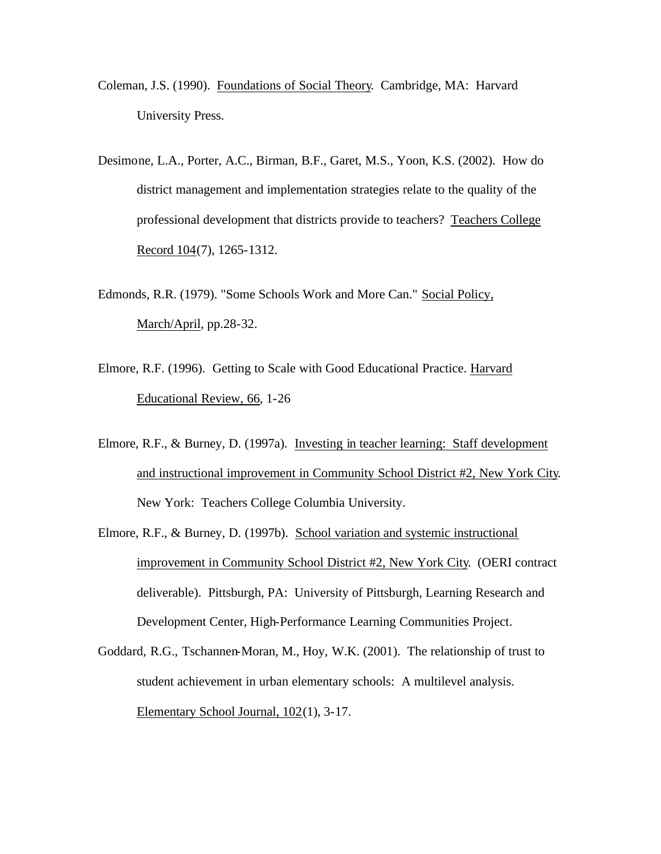- Coleman, J.S. (1990). Foundations of Social Theory. Cambridge, MA: Harvard University Press.
- Desimone, L.A., Porter, A.C., Birman, B.F., Garet, M.S., Yoon, K.S. (2002). How do district management and implementation strategies relate to the quality of the professional development that districts provide to teachers? Teachers College Record 104(7), 1265-1312.
- Edmonds, R.R. (1979). "Some Schools Work and More Can." Social Policy, March/April, pp.28-32.
- Elmore, R.F. (1996). Getting to Scale with Good Educational Practice. Harvard Educational Review, 66*,* 1-26
- Elmore, R.F., & Burney, D. (1997a). Investing in teacher learning: Staff development and instructional improvement in Community School District #2, New York City. New York: Teachers College Columbia University.
- Elmore, R.F., & Burney, D. (1997b). School variation and systemic instructional improvement in Community School District #2, New York City. (OERI contract deliverable). Pittsburgh, PA: University of Pittsburgh, Learning Research and Development Center, High-Performance Learning Communities Project.
- Goddard, R.G., Tschannen-Moran, M., Hoy, W.K. (2001). The relationship of trust to student achievement in urban elementary schools: A multilevel analysis. Elementary School Journal, 102(1), 3-17.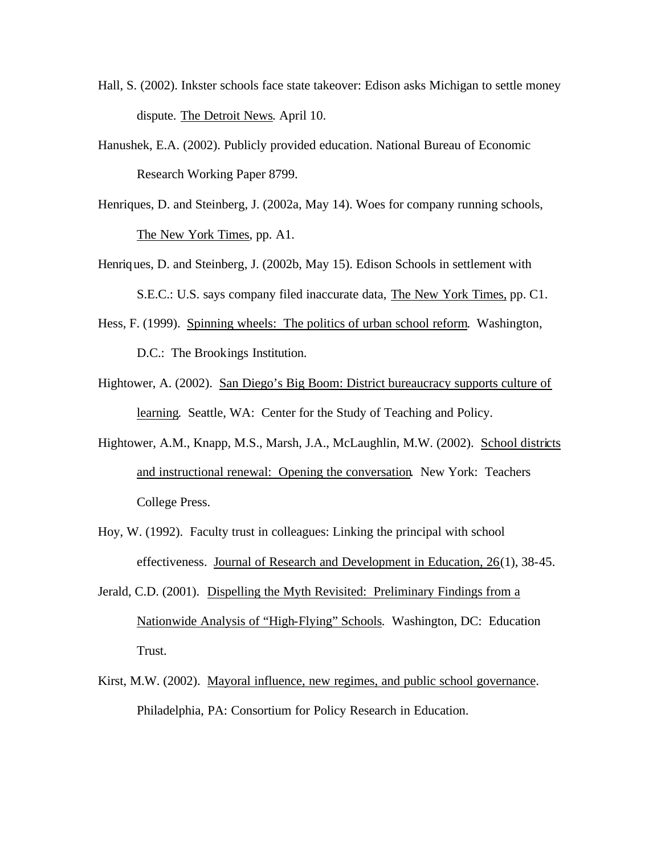- Hall, S. (2002). Inkster schools face state takeover: Edison asks Michigan to settle money dispute. The Detroit News*.* April 10.
- Hanushek, E.A. (2002). Publicly provided education. National Bureau of Economic Research Working Paper 8799.
- Henriques, D. and Steinberg, J. (2002a, May 14). Woes for company running schools, The New York Times, pp. A1.
- Henriques, D. and Steinberg, J. (2002b, May 15). Edison Schools in settlement with S.E.C.: U.S. says company filed inaccurate data, The New York Times, pp. C1.
- Hess, F. (1999). Spinning wheels: The politics of urban school reform. Washington, D.C.: The Brookings Institution.
- Hightower, A. (2002). San Diego's Big Boom: District bureaucracy supports culture of learning. Seattle, WA: Center for the Study of Teaching and Policy.
- Hightower, A.M., Knapp, M.S., Marsh, J.A., McLaughlin, M.W. (2002). School districts and instructional renewal: Opening the conversation. New York: Teachers College Press.
- Hoy, W. (1992). Faculty trust in colleagues: Linking the principal with school effectiveness. Journal of Research and Development in Education, 26(1), 38-45.
- Jerald, C.D. (2001). Dispelling the Myth Revisited: Preliminary Findings from a Nationwide Analysis of "High-Flying" Schools*.* Washington, DC: Education Trust.
- Kirst, M.W. (2002). Mayoral influence, new regimes, and public school governance. Philadelphia, PA: Consortium for Policy Research in Education.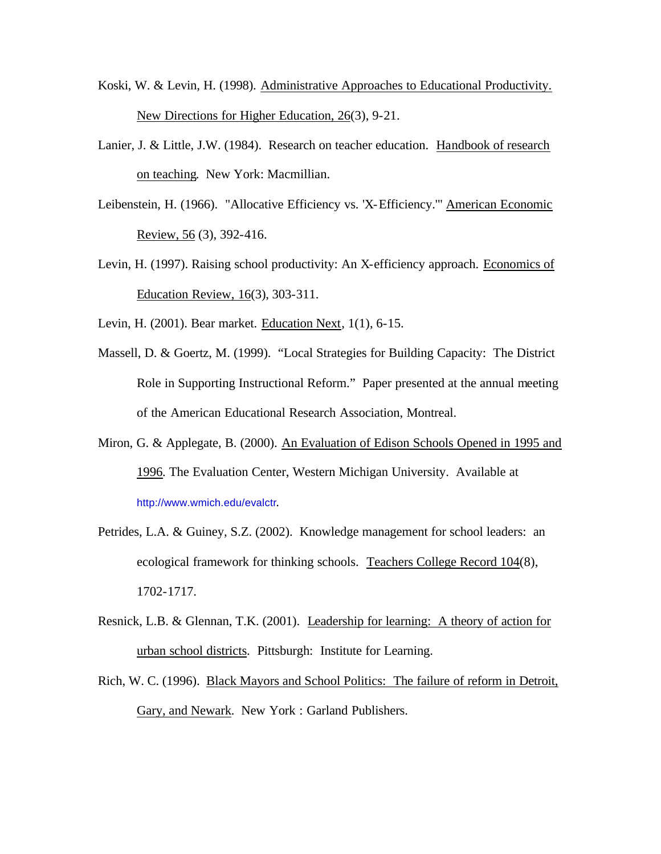- Koski, W. & Levin, H. (1998). Administrative Approaches to Educational Productivity. New Directions for Higher Education, 26(3), 9-21.
- Lanier, J. & Little, J.W. (1984). Research on teacher education. Handbook of research on teaching. New York: Macmillian.
- Leibenstein, H. (1966). "Allocative Efficiency vs. 'X-Efficiency.'" American Economic Review, 56 (3), 392-416.
- Levin, H. (1997). Raising school productivity: An X-efficiency approach. Economics of Education Review, 16(3), 303-311.
- Levin, H. (2001). Bear market. Education Next, 1(1), 6-15.
- Massell, D. & Goertz, M. (1999). "Local Strategies for Building Capacity: The District Role in Supporting Instructional Reform." Paper presented at the annual meeting of the American Educational Research Association, Montreal.
- Miron, G. & Applegate, B. (2000). An Evaluation of Edison Schools Opened in 1995 and 1996*.* The Evaluation Center, Western Michigan University. Available at http://www.wmich.edu/evalctr.
- Petrides, L.A. & Guiney, S.Z. (2002). Knowledge management for school leaders: an ecological framework for thinking schools. Teachers College Record 104(8), 1702-1717.
- Resnick, L.B. & Glennan, T.K. (2001). Leadership for learning: A theory of action for urban school districts. Pittsburgh: Institute for Learning.
- Rich, W. C. (1996). Black Mayors and School Politics: The failure of reform in Detroit, Gary, and Newark*.* New York : Garland Publishers.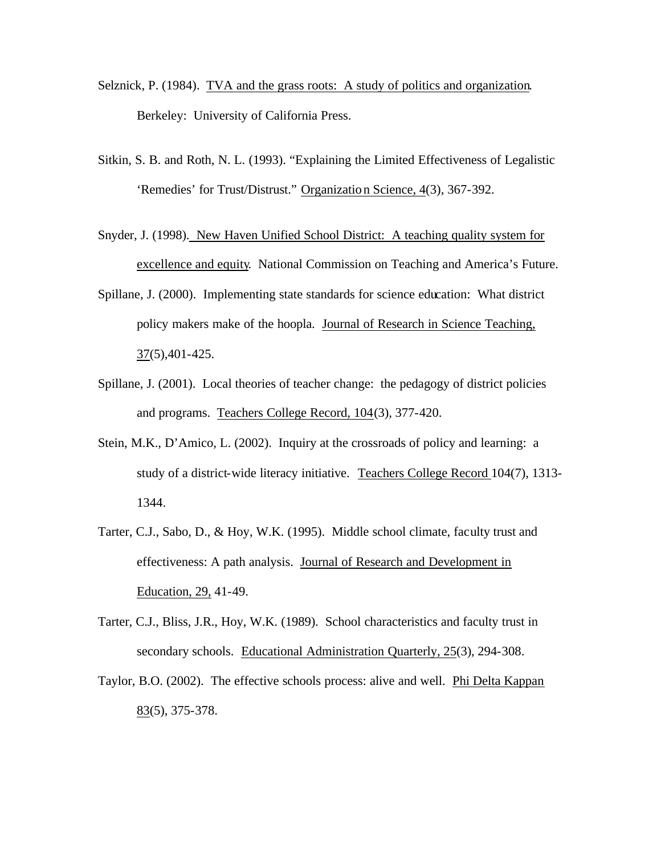- Selznick, P. (1984). TVA and the grass roots: A study of politics and organization*.* Berkeley: University of California Press.
- Sitkin, S. B. and Roth, N. L. (1993). "Explaining the Limited Effectiveness of Legalistic 'Remedies' for Trust/Distrust." Organization Science, 4(3), 367-392.
- Snyder, J. (1998). New Haven Unified School District: A teaching quality system for excellence and equity*.* National Commission on Teaching and America's Future.
- Spillane, J. (2000). Implementing state standards for science education: What district policy makers make of the hoopla.Journal of Research in Science Teaching, 37(5),401-425.
- Spillane, J. (2001). Local theories of teacher change: the pedagogy of district policies and programs. Teachers College Record, 104(3), 377-420.
- Stein, M.K., D'Amico, L. (2002). Inquiry at the crossroads of policy and learning: a study of a district-wide literacy initiative. Teachers College Record 104(7), 1313- 1344.
- Tarter, C.J., Sabo, D., & Hoy, W.K. (1995). Middle school climate, faculty trust and effectiveness: A path analysis. Journal of Research and Development in Education, 29, 41-49.
- Tarter, C.J., Bliss, J.R., Hoy, W.K. (1989). School characteristics and faculty trust in secondary schools. Educational Administration Quarterly, 25(3), 294-308.
- Taylor, B.O. (2002). The effective schools process: alive and well. Phi Delta Kappan 83(5), 375-378.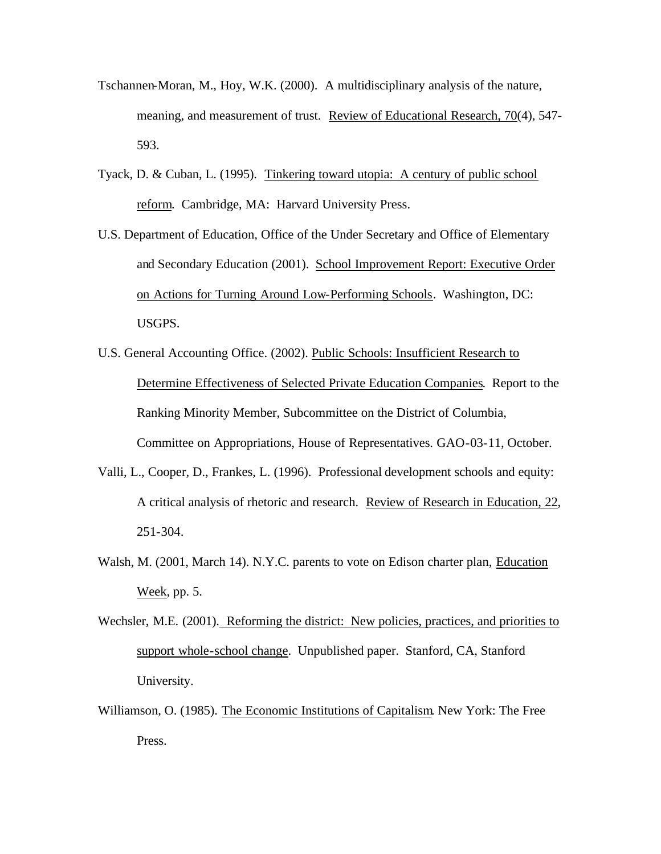- Tschannen-Moran, M., Hoy, W.K. (2000). A multidisciplinary analysis of the nature, meaning, and measurement of trust. Review of Educational Research, 70(4), 547- 593.
- Tyack, D. & Cuban, L. (1995). Tinkering toward utopia: A century of public school reform. Cambridge, MA: Harvard University Press.
- U.S. Department of Education, Office of the Under Secretary and Office of Elementary and Secondary Education (2001). School Improvement Report: Executive Order on Actions for Turning Around Low-Performing Schools. Washington, DC: USGPS.
- U.S. General Accounting Office. (2002). Public Schools: Insufficient Research to Determine Effectiveness of Selected Private Education Companies. Report to the Ranking Minority Member, Subcommittee on the District of Columbia, Committee on Appropriations, House of Representatives. GAO-03-11, October.
- Valli, L., Cooper, D., Frankes, L. (1996). Professional development schools and equity: A critical analysis of rhetoric and research. Review of Research in Education, 22, 251-304.
- Walsh, M. (2001, March 14). N.Y.C. parents to vote on Edison charter plan, Education Week, pp. 5.
- Wechsler, M.E. (2001). Reforming the district: New policies, practices, and priorities to support whole-school change. Unpublished paper. Stanford, CA, Stanford University.
- Williamson, O. (1985). The Economic Institutions of Capitalism. New York: The Free Press.